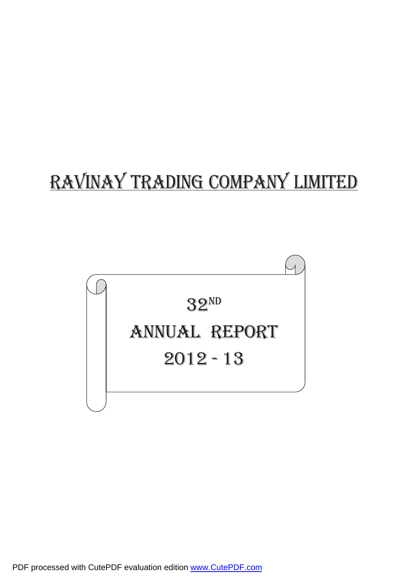# Ravinay Trading Company Limited



PDF processed with CutePDF evaluation edition [www.CutePDF.com](http://www.cutepdf.com)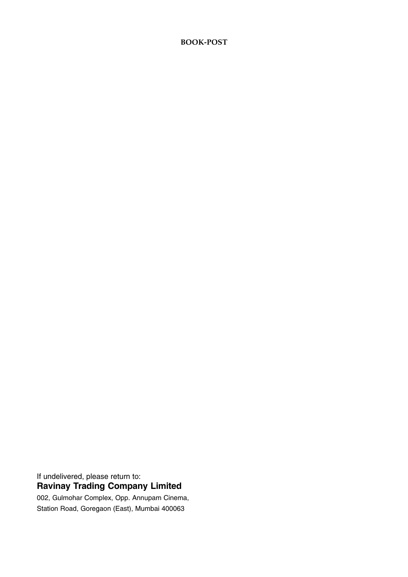#### **BOOK-POST**

If undelivered, please return to: Ravinay Trading Company Limited

002, Gulmohar Complex, Opp. Annupam Cinema, Station Road, Goregaon (East), Mumbai 400063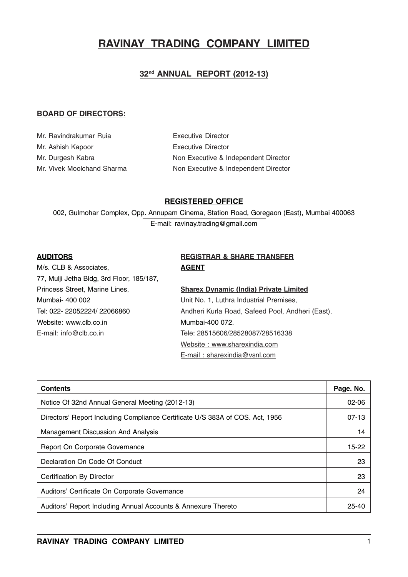## RAVINAY TRADING COMPANY LIMITED

### 32nd ANNUAL REPORT (2012-13)

#### BOARD OF DIRECTORS:

Mr. Ravindrakumar Ruia **Executive Director** Mr. Ashish Kapoor **Executive Director** 

Mr. Durgesh Kabra Non Executive & Independent Director Mr. Vivek Moolchand Sharma Non Executive & Independent Director

#### REGISTERED OFFICE

002, Gulmohar Complex, Opp. Annupam Cinema, Station Road, Goregaon (East), Mumbai 400063 E-mail: ravinay.trading@gmail.com

M/s. CLB & Associates, AGENT 77, Mulji Jetha Bldg, 3rd Floor, 185/187, Mumbai- 400 002 Unit No. 1, Luthra Industrial Premises, Website: www.clb.co.in Mumbai-400 072. E-mail: info@clb.co.in Tele: 28515606/28528087/28516338

# AUDITORS **REGISTRAR & SHARE TRANSFER**

Princess Street, Marine Lines, Sharex Dynamic (India) Private Limited Tel: 022- 22052224/ 22066860 Andheri Kurla Road, Safeed Pool, Andheri (East), Website : www.sharexindia.com E-mail : sharexindia@vsnl.com

| <b>Contents</b>                                                               | Page. No. |
|-------------------------------------------------------------------------------|-----------|
| Notice Of 32nd Annual General Meeting (2012-13)                               | $02 - 06$ |
| Directors' Report Including Compliance Certificate U/S 383A of COS. Act, 1956 | $07-13$   |
| Management Discussion And Analysis                                            | 14        |
| Report On Corporate Governance                                                | 15-22     |
| Declaration On Code Of Conduct                                                | 23        |
| Certification By Director                                                     | 23        |
| Auditors' Certificate On Corporate Governance                                 | 24        |
| Auditors' Report Including Annual Accounts & Annexure Thereto                 | $25 - 40$ |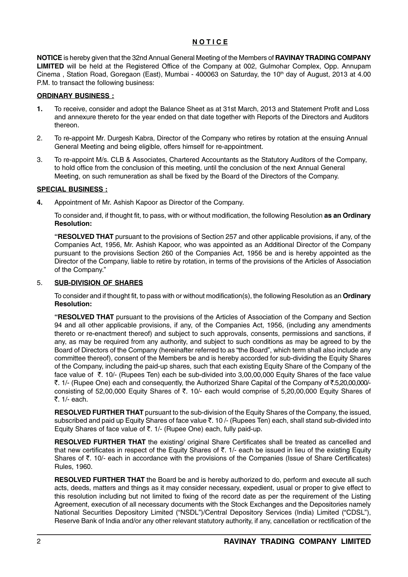#### **NOTICE**

NOTICE is hereby given that the 32nd Annual General Meeting of the Members of RAVINAY TRADING COMPANY LIMITED will be held at the Registered Office of the Company at 002, Gulmohar Complex, Opp. Annupam Cinema , Station Road, Goregaon (East), Mumbai - 400063 on Saturday, the 10<sup>th</sup> day of August, 2013 at 4.00 P.M. to transact the following business:

#### ORDINARY BUSINESS :

- 1. To receive, consider and adopt the Balance Sheet as at 31st March, 2013 and Statement Profit and Loss and annexure thereto for the year ended on that date together with Reports of the Directors and Auditors thereon.
- 2. To re-appoint Mr. Durgesh Kabra, Director of the Company who retires by rotation at the ensuing Annual General Meeting and being eligible, offers himself for re-appointment.
- 3. To re-appoint M/s. CLB & Associates, Chartered Accountants as the Statutory Auditors of the Company, to hold office from the conclusion of this meeting, until the conclusion of the next Annual General Meeting, on such remuneration as shall be fixed by the Board of the Directors of the Company.

#### SPECIAL BUSINESS :

4. Appointment of Mr. Ashish Kapoor as Director of the Company.

To consider and, if thought fit, to pass, with or without modification, the following Resolution as an Ordinary Resolution:

"RESOLVED THAT pursuant to the provisions of Section 257 and other applicable provisions, if any, of the Companies Act, 1956, Mr. Ashish Kapoor, who was appointed as an Additional Director of the Company pursuant to the provisions Section 260 of the Companies Act, 1956 be and is hereby appointed as the Director of the Company, liable to retire by rotation, in terms of the provisions of the Articles of Association of the Company."

#### 5. SUB-DIVISION OF SHARES

To consider and if thought fit, to pass with or without modification(s), the following Resolution as an Ordinary Resolution:

"RESOLVED THAT pursuant to the provisions of the Articles of Association of the Company and Section 94 and all other applicable provisions, if any, of the Companies Act, 1956, (including any amendments thereto or re-enactment thereof) and subject to such approvals, consents, permissions and sanctions, if any, as may be required from any authority, and subject to such conditions as may be agreed to by the Board of Directors of the Company (hereinafter referred to as "the Board", which term shall also include any committee thereof), consent of the Members be and is hereby accorded for sub-dividing the Equity Shares of the Company, including the paid-up shares, such that each existing Equity Share of the Company of the face value of `. 10/- (Rupees Ten) each be sub-divided into 3,00,00,000 Equity Shares of the face value `. 1/- (Rupee One) each and consequently, the Authorized Share Capital of the Company of `.5,20,00,000/ consisting of 52,00,000 Equity Shares of  $\bar{\tau}$ . 10/- each would comprise of 5,20,00,000 Equity Shares of  $\overline{z}$ . 1/- each.

RESOLVED FURTHER THAT pursuant to the sub-division of the Equity Shares of the Company, the issued, subscribed and paid up Equity Shares of face value ₹. 10 /- (Rupees Ten) each, shall stand sub-divided into Equity Shares of face value of  $\bar{\tau}$ , 1/- (Rupee One) each, fully paid-up.

RESOLVED FURTHER THAT the existing/ original Share Certificates shall be treated as cancelled and that new certificates in respect of the Equity Shares of  $\bar{\tau}$ . 1/- each be issued in lieu of the existing Equity Shares of  $\bar{\tau}$ . 10/- each in accordance with the provisions of the Companies (Issue of Share Certificates) Rules, 1960.

RESOLVED FURTHER THAT the Board be and is hereby authorized to do, perform and execute all such acts, deeds, matters and things as it may consider necessary, expedient, usual or proper to give effect to this resolution including but not limited to fixing of the record date as per the requirement of the Listing Agreement, execution of all necessary documents with the Stock Exchanges and the Depositories namely National Securities Depository Limited ("NSDL")/Central Depository Services (India) Limited ("CDSL"), Reserve Bank of India and/or any other relevant statutory authority, if any, cancellation or rectification of the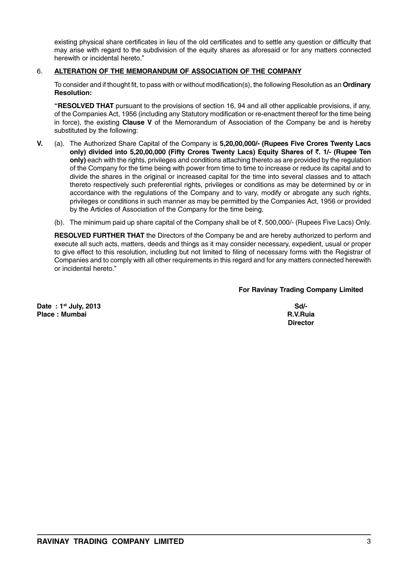existing physical share certificates in lieu of the old certificates and to settle any question or difficulty that may arise with regard to the subdivision of the equity shares as aforesaid or for any matters connected herewith or incidental hereto."

#### 6. ALTERATION OF THE MEMORANDUM OF ASSOCIATION OF THE COMPANY

To consider and if thought fit, to pass with or without modification(s), the following Resolution as an Ordinary Resolution:

"RESOLVED THAT pursuant to the provisions of section 16, 94 and all other applicable provisions, if any, of the Companies Act, 1956 (including any Statutory modification or re-enactment thereof for the time being in force), the existing **Clause V** of the Memorandum of Association of the Company be and is hereby substituted by the following:

- V. (a). The Authorized Share Capital of the Company is 5,20,00,000/- (Rupees Five Crores Twenty Lacs only) divided into 5,20,00,000 (Fifty Crores Twenty Lacs) Equity Shares of  $\bar{\tau}$ . 1/- (Rupee Ten only) each with the rights, privileges and conditions attaching thereto as are provided by the regulation of the Company for the time being with power from time to time to increase or reduce its capital and to divide the shares in the original or increased capital for the time into several classes and to attach thereto respectively such preferential rights, privileges or conditions as may be determined by or in accordance with the regulations of the Company and to vary, modify or abrogate any such rights, privileges or conditions in such manner as may be permitted by the Companies Act, 1956 or provided by the Articles of Association of the Company for the time being.
	- (b). The minimum paid up share capital of the Company shall be of  $\bar{\tau}$ . 500,000/- (Rupees Five Lacs) Only.

RESOLVED FURTHER THAT the Directors of the Company be and are hereby authorized to perform and execute all such acts, matters, deeds and things as it may consider necessary, expedient, usual or proper to give effect to this resolution, including but not limited to filing of necessary forms with the Registrar of Companies and to comply with all other requirements in this regard and for any matters connected herewith or incidental hereto."

For Ravinay Trading Company Limited

Date : 1<sup>st</sup> July, 2013 Sd/-Place : Mumbai and R.V.Ruia

**Director**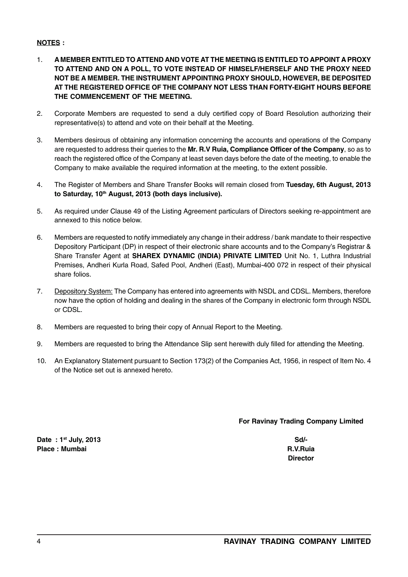#### NOTES :

- 1. A MEMBER ENTITLED TO ATTEND AND VOTE AT THE MEETING IS ENTITLED TO APPOINT A PROXY TO ATTEND AND ON A POLL, TO VOTE INSTEAD OF HIMSELF/HERSELF AND THE PROXY NEED NOT BE A MEMBER. THE INSTRUMENT APPOINTING PROXY SHOULD, HOWEVER, BE DEPOSITED AT THE REGISTERED OFFICE OF THE COMPANY NOT LESS THAN FORTY-EIGHT HOURS BEFORE THE COMMENCEMENT OF THE MEETING.
- 2. Corporate Members are requested to send a duly certified copy of Board Resolution authorizing their representative(s) to attend and vote on their behalf at the Meeting.
- 3. Members desirous of obtaining any information concerning the accounts and operations of the Company are requested to address their queries to the Mr. R.V Ruia, Compliance Officer of the Company, so as to reach the registered office of the Company at least seven days before the date of the meeting, to enable the Company to make available the required information at the meeting, to the extent possible.
- 4. The Register of Members and Share Transfer Books will remain closed from Tuesday, 6th August, 2013 to Saturday, 10<sup>th</sup> August, 2013 (both days inclusive).
- 5. As required under Clause 49 of the Listing Agreement particulars of Directors seeking re-appointment are annexed to this notice below.
- 6. Members are requested to notify immediately any change in their address / bank mandate to their respective Depository Participant (DP) in respect of their electronic share accounts and to the Company's Registrar & Share Transfer Agent at SHAREX DYNAMIC (INDIA) PRIVATE LIMITED Unit No. 1, Luthra Industrial Premises, Andheri Kurla Road, Safed Pool, Andheri (East), Mumbai-400 072 in respect of their physical share folios.
- 7. Depository System: The Company has entered into agreements with NSDL and CDSL. Members, therefore now have the option of holding and dealing in the shares of the Company in electronic form through NSDL or CDSL.
- 8. Members are requested to bring their copy of Annual Report to the Meeting.
- 9. Members are requested to bring the Attendance Slip sent herewith duly filled for attending the Meeting.
- 10. An Explanatory Statement pursuant to Section 173(2) of the Companies Act, 1956, in respect of Item No. 4 of the Notice set out is annexed hereto.

For Ravinay Trading Company Limited

**Director** 

Date : 1<sup>st</sup> July, 2013 Sd/-Place : Mumbai R.V.Ruia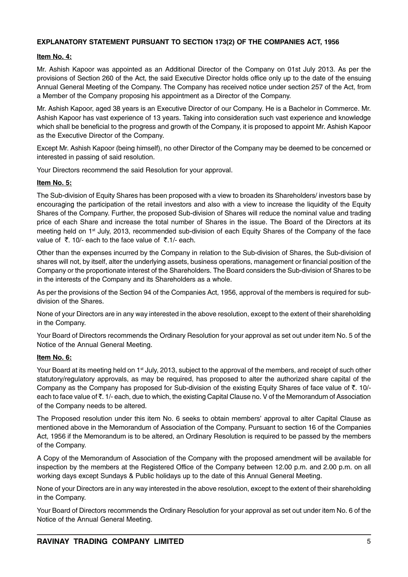#### EXPLANATORY STATEMENT PURSUANT TO SECTION 173(2) OF THE COMPANIES ACT, 1956

#### Item No. 4:

Mr. Ashish Kapoor was appointed as an Additional Director of the Company on 01st July 2013. As per the provisions of Section 260 of the Act, the said Executive Director holds office only up to the date of the ensuing Annual General Meeting of the Company. The Company has received notice under section 257 of the Act, from a Member of the Company proposing his appointment as a Director of the Company.

Mr. Ashish Kapoor, aged 38 years is an Executive Director of our Company. He is a Bachelor in Commerce. Mr. Ashish Kapoor has vast experience of 13 years. Taking into consideration such vast experience and knowledge which shall be beneficial to the progress and growth of the Company, it is proposed to appoint Mr. Ashish Kapoor as the Executive Director of the Company.

Except Mr. Ashish Kapoor (being himself), no other Director of the Company may be deemed to be concerned or interested in passing of said resolution.

Your Directors recommend the said Resolution for your approval.

#### Item No. 5:

The Sub-division of Equity Shares has been proposed with a view to broaden its Shareholders/ investors base by encouraging the participation of the retail investors and also with a view to increase the liquidity of the Equity Shares of the Company. Further, the proposed Sub-division of Shares will reduce the nominal value and trading price of each Share and increase the total number of Shares in the issue. The Board of the Directors at its meeting held on 1st July, 2013, recommended sub-division of each Equity Shares of the Company of the face value of  $\overline{\xi}$ . 10/- each to the face value of  $\overline{\xi}$ . 1/- each.

Other than the expenses incurred by the Company in relation to the Sub-division of Shares, the Sub-division of shares will not, by itself, alter the underlying assets, business operations, management or financial position of the Company or the proportionate interest of the Shareholders. The Board considers the Sub-division of Shares to be in the interests of the Company and its Shareholders as a whole.

As per the provisions of the Section 94 of the Companies Act, 1956, approval of the members is required for subdivision of the Shares.

None of your Directors are in any way interested in the above resolution, except to the extent of their shareholding in the Company.

Your Board of Directors recommends the Ordinary Resolution for your approval as set out under item No. 5 of the Notice of the Annual General Meeting.

#### Item No. 6:

Your Board at its meeting held on 1<sup>st</sup> July, 2013, subject to the approval of the members, and receipt of such other statutory/regulatory approvals, as may be required, has proposed to alter the authorized share capital of the Company as the Company has proposed for Sub-division of the existing Equity Shares of face value of  $\bar{c}$ . 10/each to face value of ₹. 1/- each, due to which, the existing Capital Clause no. V of the Memorandum of Association of the Company needs to be altered.

The Proposed resolution under this item No. 6 seeks to obtain members' approval to alter Capital Clause as mentioned above in the Memorandum of Association of the Company. Pursuant to section 16 of the Companies Act, 1956 if the Memorandum is to be altered, an Ordinary Resolution is required to be passed by the members of the Company.

A Copy of the Memorandum of Association of the Company with the proposed amendment will be available for inspection by the members at the Registered Office of the Company between 12.00 p.m. and 2.00 p.m. on all working days except Sundays & Public holidays up to the date of this Annual General Meeting.

None of your Directors are in any way interested in the above resolution, except to the extent of their shareholding in the Company.

Your Board of Directors recommends the Ordinary Resolution for your approval as set out under item No. 6 of the Notice of the Annual General Meeting.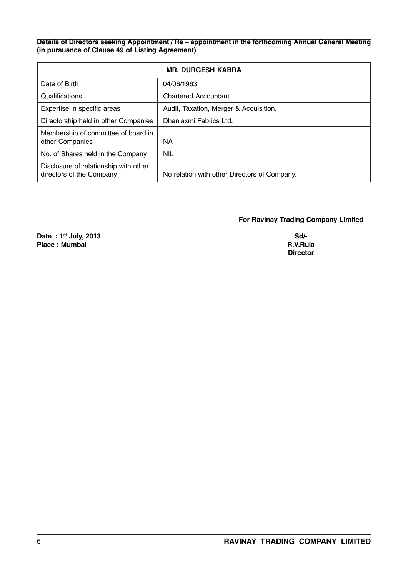#### Details of Directors seeking Appointment / Re – appointment in the forthcoming Annual General Meeting (in pursuance of Clause 49 of Listing Agreement)

| <b>MR. DURGESH KABRA</b>                                          |                                              |  |
|-------------------------------------------------------------------|----------------------------------------------|--|
| Date of Birth                                                     | 04/06/1963                                   |  |
| Qualifications                                                    | <b>Chartered Accountant</b>                  |  |
| Expertise in specific areas                                       | Audit, Taxation, Merger & Acquisition.       |  |
| Directorship held in other Companies                              | Dhanlaxmi Fabrics Ltd.                       |  |
| Membership of committee of board in<br>other Companies            | ΝA                                           |  |
| No. of Shares held in the Company                                 | <b>NIL</b>                                   |  |
| Disclosure of relationship with other<br>directors of the Company | No relation with other Directors of Company. |  |

#### For Ravinay Trading Company Limited

Date : 1st July, 2013 Sd/- Place : Mumbai R.V.Ruia

**Director**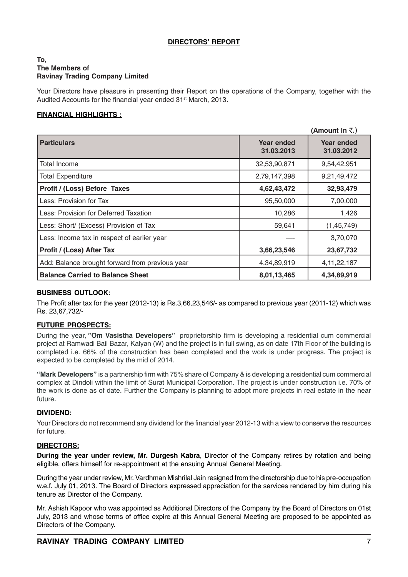#### DIRECTORS' REPORT

#### To, The Members of Ravinay Trading Company Limited

Your Directors have pleasure in presenting their Report on the operations of the Company, together with the Audited Accounts for the financial year ended 31<sup>st</sup> March, 2013.

#### FINANCIAL HIGHLIGHTS :

|                                                 |                          | (Amount In ₹.)           |
|-------------------------------------------------|--------------------------|--------------------------|
| <b>Particulars</b>                              | Year ended<br>31.03.2013 | Year ended<br>31.03.2012 |
| Total Income                                    | 32,53,90,871             | 9,54,42,951              |
| <b>Total Expenditure</b>                        | 2,79,147,398             | 9,21,49,472              |
| Profit / (Loss) Before Taxes                    | 4,62,43,472              | 32,93,479                |
| Less: Provision for Tax                         | 95,50,000                | 7,00,000                 |
| Less: Provision for Deferred Taxation           | 10,286                   | 1,426                    |
| Less: Short/ (Excess) Provision of Tax          | 59,641                   | (1, 45, 749)             |
| Less: Income tax in respect of earlier year     |                          | 3,70,070                 |
| Profit / (Loss) After Tax                       | 3,66,23,546              | 23,67,732                |
| Add: Balance brought forward from previous year | 4,34,89,919              | 4, 11, 22, 187           |
| <b>Balance Carried to Balance Sheet</b>         | 8,01,13,465              | 4,34,89,919              |

#### BUSINESS OUTLOOK:

The Profit after tax for the year (2012-13) is Rs.3,66,23,546/- as compared to previous year (2011-12) which was Rs. 23,67,732/-

#### FUTURE PROSPECTS:

During the year, "Om Vasistha Developers" proprietorship firm is developing a residential cum commercial project at Ramwadi Bail Bazar, Kalyan (W) and the project is in full swing, as on date 17th Floor of the building is completed i.e. 66% of the construction has been completed and the work is under progress. The project is expected to be completed by the mid of 2014.

"Mark Developers" is a partnership firm with 75% share of Company & is developing a residential cum commercial complex at Dindoli within the limit of Surat Municipal Corporation. The project is under construction i.e. 70% of the work is done as of date. Further the Company is planning to adopt more projects in real estate in the near future.

#### DIVIDEND:

Your Directors do not recommend any dividend for the financial year 2012-13 with a view to conserve the resources for future.

#### DIRECTORS:

During the year under review, Mr. Durgesh Kabra, Director of the Company retires by rotation and being eligible, offers himself for re-appointment at the ensuing Annual General Meeting.

During the year under review, Mr. Vardhman Mishrilal Jain resigned from the directorship due to his pre-occupation w.e.f. July 01, 2013. The Board of Directors expressed appreciation for the services rendered by him during his tenure as Director of the Company.

Mr. Ashish Kapoor who was appointed as Additional Directors of the Company by the Board of Directors on 01st July, 2013 and whose terms of office expire at this Annual General Meeting are proposed to be appointed as Directors of the Company.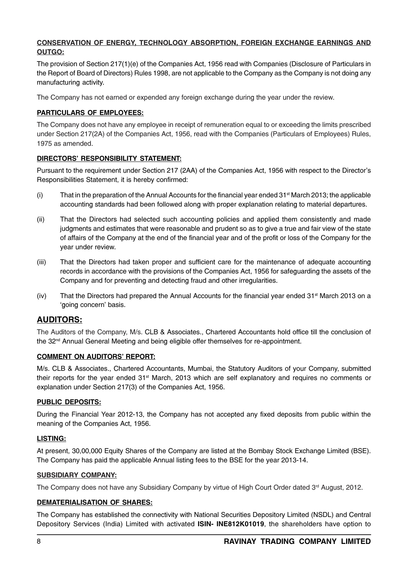#### CONSERVATION OF ENERGY, TECHNOLOGY ABSORPTION, FOREIGN EXCHANGE EARNINGS AND OUTGO:

The provision of Section 217(1)(e) of the Companies Act, 1956 read with Companies (Disclosure of Particulars in the Report of Board of Directors) Rules 1998, are not applicable to the Company as the Company is not doing any manufacturing activity.

The Company has not earned or expended any foreign exchange during the year under the review.

#### PARTICULARS OF EMPLOYEES:

The Company does not have any employee in receipt of remuneration equal to or exceeding the limits prescribed under Section 217(2A) of the Companies Act, 1956, read with the Companies (Particulars of Employees) Rules, 1975 as amended.

#### DIRECTORS' RESPONSIBILITY STATEMENT:

Pursuant to the requirement under Section 217 (2AA) of the Companies Act, 1956 with respect to the Director's Responsibilities Statement, it is hereby confirmed:

- (i) That in the preparation of the Annual Accounts for the financial year ended  $31<sup>st</sup>$  March 2013; the applicable accounting standards had been followed along with proper explanation relating to material departures.
- (ii) That the Directors had selected such accounting policies and applied them consistently and made judgments and estimates that were reasonable and prudent so as to give a true and fair view of the state of affairs of the Company at the end of the financial year and of the profit or loss of the Company for the year under review.
- (iii) That the Directors had taken proper and sufficient care for the maintenance of adequate accounting records in accordance with the provisions of the Companies Act, 1956 for safeguarding the assets of the Company and for preventing and detecting fraud and other irregularities.
- $(iv)$  That the Directors had prepared the Annual Accounts for the financial year ended 31<sup>st</sup> March 2013 on a 'going concern' basis.

#### AUDITORS:

The Auditors of the Company, M/s. CLB & Associates., Chartered Accountants hold office till the conclusion of the 32<sup>nd</sup> Annual General Meeting and being eligible offer themselves for re-appointment.

#### COMMENT ON AUDITORS' REPORT:

M/s. CLB & Associates., Chartered Accountants, Mumbai, the Statutory Auditors of your Company, submitted their reports for the year ended 31<sup>st</sup> March, 2013 which are self explanatory and requires no comments or explanation under Section 217(3) of the Companies Act, 1956.

#### PUBLIC DEPOSITS:

During the Financial Year 2012-13, the Company has not accepted any fixed deposits from public within the meaning of the Companies Act, 1956.

#### LISTING:

At present, 30,00,000 Equity Shares of the Company are listed at the Bombay Stock Exchange Limited (BSE). The Company has paid the applicable Annual listing fees to the BSE for the year 2013-14.

#### SUBSIDIARY COMPANY:

The Company does not have any Subsidiary Company by virtue of High Court Order dated 3rd August, 2012.

#### DEMATERIALISATION OF SHARES:

The Company has established the connectivity with National Securities Depository Limited (NSDL) and Central Depository Services (India) Limited with activated ISIN- INE812K01019, the shareholders have option to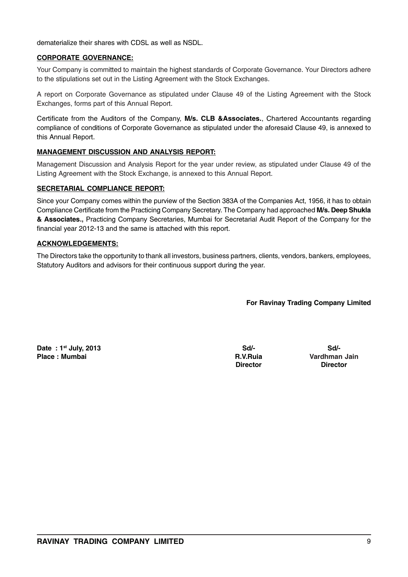dematerialize their shares with CDSL as well as NSDL.

#### CORPORATE GOVERNANCE:

Your Company is committed to maintain the highest standards of Corporate Governance. Your Directors adhere to the stipulations set out in the Listing Agreement with the Stock Exchanges.

A report on Corporate Governance as stipulated under Clause 49 of the Listing Agreement with the Stock Exchanges, forms part of this Annual Report.

Certificate from the Auditors of the Company, M/s. CLB &Associates., Chartered Accountants regarding compliance of conditions of Corporate Governance as stipulated under the aforesaid Clause 49, is annexed to this Annual Report.

#### MANAGEMENT DISCUSSION AND ANALYSIS REPORT:

Management Discussion and Analysis Report for the year under review, as stipulated under Clause 49 of the Listing Agreement with the Stock Exchange, is annexed to this Annual Report.

#### SECRETARIAL COMPLIANCE REPORT:

Since your Company comes within the purview of the Section 383A of the Companies Act, 1956, it has to obtain Compliance Certificate from the Practicing Company Secretary. The Company had approached M/s. Deep Shukla & Associates., Practicing Company Secretaries, Mumbai for Secretarial Audit Report of the Company for the financial year 2012-13 and the same is attached with this report.

#### ACKNOWLEDGEMENTS:

The Directors take the opportunity to thank all investors, business partners, clients, vendors, bankers, employees, Statutory Auditors and advisors for their continuous support during the year.

For Ravinay Trading Company Limited

Date : 1st July, 2013 Sd/- Sd/-

R.V.Ruia Vardhman Jain Director Director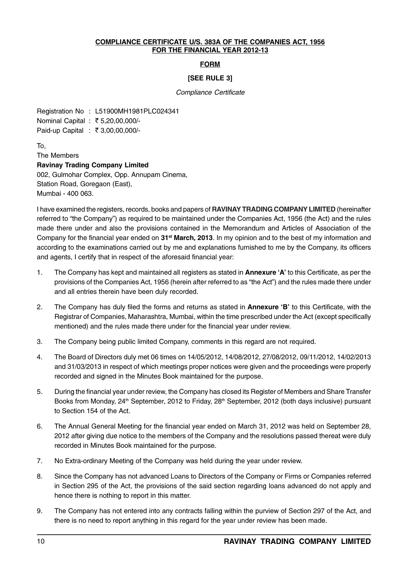#### COMPLIANCE CERTIFICATE U/S. 383A OF THE COMPANIES ACT, 1956 FOR THE FINANCIAL YEAR 2012-13

**FORM** 

#### [SEE RULE 3]

Compliance Certificate

Registration No : L51900MH1981PLC024341 Nominal Capital : ₹5,20,00,000/-Paid-up Capital : ₹3,00,00,000/-

To, The Members Ravinay Trading Company Limited 002, Gulmohar Complex, Opp. Annupam Cinema, Station Road, Goregaon (East), Mumbai - 400 063.

I have examined the registers, records, books and papers of RAVINAY TRADING COMPANY LIMITED (hereinafter referred to "the Company") as required to be maintained under the Companies Act, 1956 (the Act) and the rules made there under and also the provisions contained in the Memorandum and Articles of Association of the Company for the financial year ended on 31<sup>st</sup> March, 2013. In my opinion and to the best of my information and according to the examinations carried out by me and explanations furnished to me by the Company, its officers and agents, I certify that in respect of the aforesaid financial year:

- 1. The Company has kept and maintained all registers as stated in Annexure 'A' to this Certificate, as per the provisions of the Companies Act, 1956 (herein after referred to as "the Act") and the rules made there under and all entries therein have been duly recorded.
- 2. The Company has duly filed the forms and returns as stated in **Annexure 'B'** to this Certificate, with the Registrar of Companies, Maharashtra, Mumbai, within the time prescribed under the Act (except specifically mentioned) and the rules made there under for the financial year under review.
- 3. The Company being public limited Company, comments in this regard are not required.
- 4. The Board of Directors duly met 06 times on 14/05/2012, 14/08/2012, 27/08/2012, 09/11/2012, 14/02/2013 and 31/03/2013 in respect of which meetings proper notices were given and the proceedings were properly recorded and signed in the Minutes Book maintained for the purpose.
- 5. During the financial year under review, the Company has closed its Register of Members and Share Transfer Books from Monday, 24<sup>th</sup> September, 2012 to Friday, 28<sup>th</sup> September, 2012 (both days inclusive) pursuant to Section 154 of the Act.
- 6. The Annual General Meeting for the financial year ended on March 31, 2012 was held on September 28, 2012 after giving due notice to the members of the Company and the resolutions passed thereat were duly recorded in Minutes Book maintained for the purpose.
- 7. No Extra-ordinary Meeting of the Company was held during the year under review.
- 8. Since the Company has not advanced Loans to Directors of the Company or Firms or Companies referred in Section 295 of the Act, the provisions of the said section regarding loans advanced do not apply and hence there is nothing to report in this matter.
- 9. The Company has not entered into any contracts falling within the purview of Section 297 of the Act, and there is no need to report anything in this regard for the year under review has been made.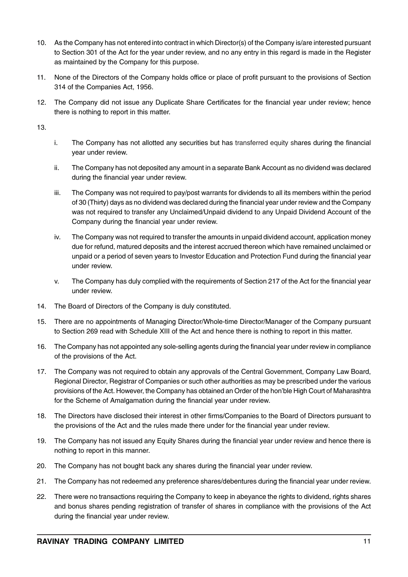- 10. As the Company has not entered into contract in which Director(s) of the Company is/are interested pursuant to Section 301 of the Act for the year under review, and no any entry in this regard is made in the Register as maintained by the Company for this purpose.
- 11. None of the Directors of the Company holds office or place of profit pursuant to the provisions of Section 314 of the Companies Act, 1956.
- 12. The Company did not issue any Duplicate Share Certificates for the financial year under review; hence there is nothing to report in this matter.

13.

- i. The Company has not allotted any securities but has transferred equity shares during the financial year under review.
- ii. The Company has not deposited any amount in a separate Bank Account as no dividend was declared during the financial year under review.
- iii. The Company was not required to pay/post warrants for dividends to all its members within the period of 30 (Thirty) days as no dividend was declared during the financial year under review and the Company was not required to transfer any Unclaimed/Unpaid dividend to any Unpaid Dividend Account of the Company during the financial year under review.
- iv. The Company was not required to transfer the amounts in unpaid dividend account, application money due for refund, matured deposits and the interest accrued thereon which have remained unclaimed or unpaid or a period of seven years to Investor Education and Protection Fund during the financial year under review.
- v. The Company has duly complied with the requirements of Section 217 of the Act for the financial year under review.
- 14. The Board of Directors of the Company is duly constituted.
- 15. There are no appointments of Managing Director/Whole-time Director/Manager of the Company pursuant to Section 269 read with Schedule XIII of the Act and hence there is nothing to report in this matter.
- 16. The Company has not appointed any sole-selling agents during the financial year under review in compliance of the provisions of the Act.
- 17. The Company was not required to obtain any approvals of the Central Government, Company Law Board, Regional Director, Registrar of Companies or such other authorities as may be prescribed under the various provisions of the Act. However, the Company has obtained an Order of the hon'ble High Court of Maharashtra for the Scheme of Amalgamation during the financial year under review.
- 18. The Directors have disclosed their interest in other firms/Companies to the Board of Directors pursuant to the provisions of the Act and the rules made there under for the financial year under review.
- 19. The Company has not issued any Equity Shares during the financial year under review and hence there is nothing to report in this manner.
- 20. The Company has not bought back any shares during the financial year under review.
- 21. The Company has not redeemed any preference shares/debentures during the financial year under review.
- 22. There were no transactions requiring the Company to keep in abeyance the rights to dividend, rights shares and bonus shares pending registration of transfer of shares in compliance with the provisions of the Act during the financial year under review.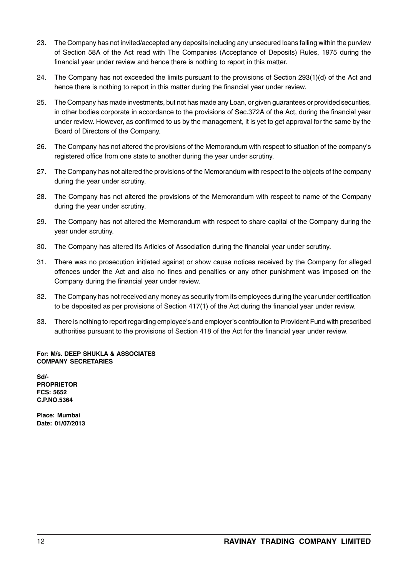- 23. The Company has not invited/accepted any deposits including any unsecured loans falling within the purview of Section 58A of the Act read with The Companies (Acceptance of Deposits) Rules, 1975 during the financial year under review and hence there is nothing to report in this matter.
- 24. The Company has not exceeded the limits pursuant to the provisions of Section 293(1)(d) of the Act and hence there is nothing to report in this matter during the financial year under review.
- 25. The Company has made investments, but not has made any Loan, or given guarantees or provided securities, in other bodies corporate in accordance to the provisions of Sec.372A of the Act, during the financial year under review. However, as confirmed to us by the management, it is yet to get approval for the same by the Board of Directors of the Company.
- 26. The Company has not altered the provisions of the Memorandum with respect to situation of the company's registered office from one state to another during the year under scrutiny.
- 27. The Company has not altered the provisions of the Memorandum with respect to the objects of the company during the year under scrutiny.
- 28. The Company has not altered the provisions of the Memorandum with respect to name of the Company during the year under scrutiny.
- 29. The Company has not altered the Memorandum with respect to share capital of the Company during the year under scrutiny.
- 30. The Company has altered its Articles of Association during the financial year under scrutiny.
- 31. There was no prosecution initiated against or show cause notices received by the Company for alleged offences under the Act and also no fines and penalties or any other punishment was imposed on the Company during the financial year under review.
- 32. The Company has not received any money as security from its employees during the year under certification to be deposited as per provisions of Section 417(1) of the Act during the financial year under review.
- 33. There is nothing to report regarding employee's and employer's contribution to Provident Fund with prescribed authorities pursuant to the provisions of Section 418 of the Act for the financial year under review.

#### For: M/s. DEEP SHUKLA & ASSOCIATES COMPANY SECRETARIES

Sd/- PROPRIETOR FCS: 5652 C.P.NO.5364

Place: Mumbai Date: 01/07/2013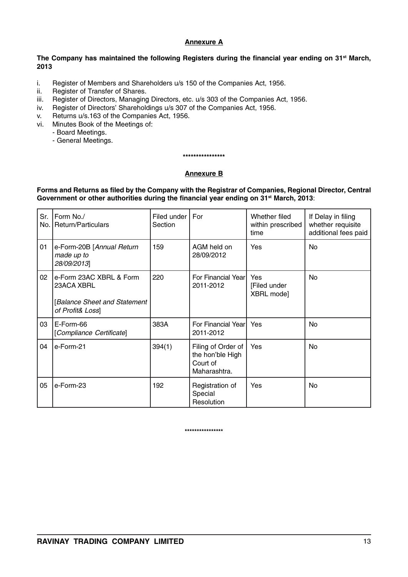#### Annexure A

#### The Company has maintained the following Registers during the financial year ending on 31<sup>st</sup> March, 2013

- i. Register of Members and Shareholders u/s 150 of the Companies Act, 1956.
- ii. Register of Transfer of Shares.
- iii. Register of Directors, Managing Directors, etc. u/s 303 of the Companies Act, 1956.
- iv. Register of Directors' Shareholdings u/s 307 of the Companies Act, 1956.
- v. Returns u/s.163 of the Companies Act, 1956.
- vi. Minutes Book of the Meetings of:
	- Board Meetings.
	- General Meetings.

\*\*\*\*\*\*\*\*\*\*\*\*\*\*\*\*

#### Annexure B

#### Forms and Returns as filed by the Company with the Registrar of Companies, Regional Director, Central Government or other authorities during the financial year ending on 31<sup>st</sup> March, 2013:

| Sr.             | Form No./<br>No.   Return/Particulars                                                     | Filed under<br>Section | For                                                                | Whether filed<br>within prescribed<br>time | If Delay in filing<br>whether requisite<br>additional fees paid |
|-----------------|-------------------------------------------------------------------------------------------|------------------------|--------------------------------------------------------------------|--------------------------------------------|-----------------------------------------------------------------|
| 01              | e-Form-20B [Annual Return<br>made up to<br>28/09/2013]                                    | 159                    | AGM held on<br>28/09/2012                                          | Yes                                        | <b>No</b>                                                       |
| 02 <sub>2</sub> | e-Form 23AC XBRL & Form<br>23ACA XBRL<br>[Balance Sheet and Statement<br>of Profit& Loss] | 220                    | For Financial Yearl<br>2011-2012                                   | Yes<br>[Filed under<br>XBRL mode]          | <b>No</b>                                                       |
| 03              | E-Form-66<br>[Compliance Certificate]                                                     | 383A                   | For Financial Yearl<br>2011-2012                                   | Yes                                        | <b>No</b>                                                       |
| 04              | e-Form-21                                                                                 | 394(1)                 | Filing of Order of<br>the hon'ble High<br>Court of<br>Maharashtra. | Yes                                        | <b>No</b>                                                       |
| 05              | e-Form-23                                                                                 | 192                    | Registration of<br>Special<br>Resolution                           | Yes                                        | <b>No</b>                                                       |

#### \*\*\*\*\*\*\*\*\*\*\*\*\*\*\*\*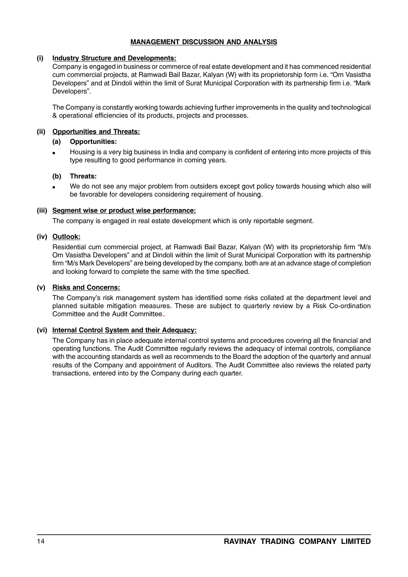#### MANAGEMENT DISCUSSION AND ANALYSIS

#### (i) Industry Structure and Developments:

Company is engaged in business or commerce of real estate development and it has commenced residential cum commercial projects, at Ramwadi Bail Bazar, Kalyan (W) with its proprietorship form i.e. "Om Vasistha Developers" and at Dindoli within the limit of Surat Municipal Corporation with its partnership firm i.e. "Mark Developers".

The Company is constantly working towards achieving further improvements in the quality and technological & operational efficiencies of its products, projects and processes.

#### (ii) Opportunities and Threats:

#### (a) Opportunities:

Housing is a very big business in India and company is confident of entering into more projects of this type resulting to good performance in coming years.

#### (b) Threats:

We do not see any major problem from outsiders except govt policy towards housing which also will be favorable for developers considering requirement of housing.

#### (iii) Segment wise or product wise performance:

The company is engaged in real estate development which is only reportable segment.

#### (iv) Outlook:

Residential cum commercial project, at Ramwadi Bail Bazar, Kalyan (W) with its proprietorship firm "M/s Om Vasistha Developers" and at Dindoli within the limit of Surat Municipal Corporation with its partnership firm "M/s Mark Developers" are being developed by the company, both are at an advance stage of completion and looking forward to complete the same with the time specified.

#### (v) Risks and Concerns:

The Company's risk management system has identified some risks collated at the department level and planned suitable mitigation measures. These are subject to quarterly review by a Risk Co-ordination Committee and the Audit Committee..

#### (vi) Internal Control System and their Adequacy:

The Company has in place adequate internal control systems and procedures covering all the financial and operating functions. The Audit Committee regularly reviews the adequacy of internal controls, compliance with the accounting standards as well as recommends to the Board the adoption of the quarterly and annual results of the Company and appointment of Auditors. The Audit Committee also reviews the related party transactions, entered into by the Company during each quarter.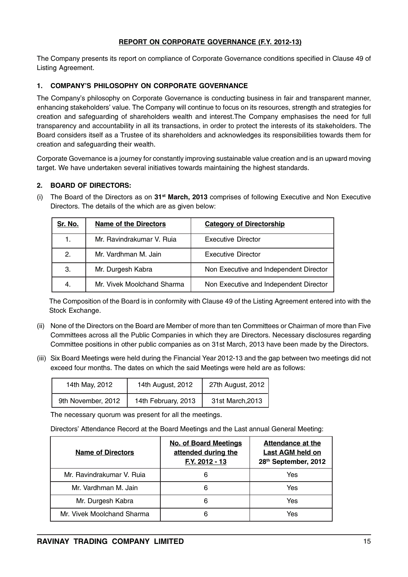#### REPORT ON CORPORATE GOVERNANCE (F.Y. 2012-13)

The Company presents its report on compliance of Corporate Governance conditions specified in Clause 49 of Listing Agreement.

#### 1. COMPANY'S PHILOSOPHY ON CORPORATE GOVERNANCE

The Company's philosophy on Corporate Governance is conducting business in fair and transparent manner, enhancing stakeholders' value. The Company will continue to focus on its resources, strength and strategies for creation and safeguarding of shareholders wealth and interest.The Company emphasises the need for full transparency and accountability in all its transactions, in order to protect the interests of its stakeholders. The Board considers itself as a Trustee of its shareholders and acknowledges its responsibilities towards them for creation and safeguarding their wealth.

Corporate Governance is a journey for constantly improving sustainable value creation and is an upward moving target. We have undertaken several initiatives towards maintaining the highest standards.

#### 2. BOARD OF DIRECTORS:

(i) The Board of the Directors as on 31st March, 2013 comprises of following Executive and Non Executive Directors. The details of the which are as given below:

| <b>Sr. No.</b> | <b>Name of the Directors</b> | <b>Category of Directorship</b>        |
|----------------|------------------------------|----------------------------------------|
| 1.             | Mr. Ravindrakumar V. Ruia    | Executive Director                     |
| 2.             | Mr. Vardhman M. Jain         | Executive Director                     |
| З.             | Mr. Durgesh Kabra            | Non Executive and Independent Director |
| 4.             | Mr. Vivek Moolchand Sharma   | Non Executive and Independent Director |

The Composition of the Board is in conformity with Clause 49 of the Listing Agreement entered into with the Stock Exchange.

- (ii) None of the Directors on the Board are Member of more than ten Committees or Chairman of more than Five Committees across all the Public Companies in which they are Directors. Necessary disclosures regarding Committee positions in other public companies as on 31st March, 2013 have been made by the Directors.
- (iii) Six Board Meetings were held during the Financial Year 2012-13 and the gap between two meetings did not exceed four months. The dates on which the said Meetings were held are as follows:

| 14th May, 2012     | 14th August, 2012   | 27th August, 2012 |
|--------------------|---------------------|-------------------|
| 9th November, 2012 | 14th February, 2013 | 31st March, 2013  |

The necessary quorum was present for all the meetings.

Directors' Attendance Record at the Board Meetings and the Last annual General Meeting:

| <b>Name of Directors</b>   | <b>No. of Board Meetings</b><br>attended during the<br>F.Y. 2012 - 13 | Attendance at the<br>Last AGM held on<br>28th September, 2012 |
|----------------------------|-----------------------------------------------------------------------|---------------------------------------------------------------|
| Mr. Ravindrakumar V. Ruja  | 6                                                                     | Yes                                                           |
| Mr. Vardhman M. Jain       | 6                                                                     | Yes                                                           |
| Mr. Durgesh Kabra          | 6                                                                     | Yes                                                           |
| Mr. Vivek Moolchand Sharma | 6                                                                     | Yes                                                           |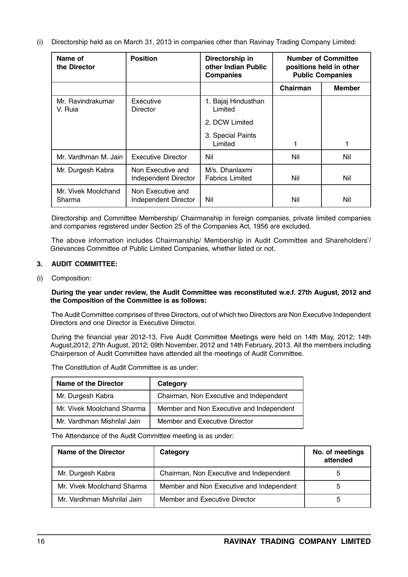(i) Directorship held as on March 31, 2013 in companies other than Ravinay Trading Company Limited:

| Name of<br>the Director       | <b>Position</b>                           | Directorship in<br>other Indian Public<br><b>Companies</b> |          | <b>Number of Committee</b><br>positions held in other<br><b>Public Companies</b> |
|-------------------------------|-------------------------------------------|------------------------------------------------------------|----------|----------------------------------------------------------------------------------|
|                               |                                           |                                                            | Chairman | <b>Member</b>                                                                    |
| Mr. Ravindrakumar<br>V. Ruia  | Executive<br>Director                     | 1. Bajaj Hindusthan<br>Limited                             |          |                                                                                  |
|                               |                                           | 2. DCW Limited                                             |          |                                                                                  |
|                               |                                           | 3. Special Paints<br>Limited                               |          |                                                                                  |
| Mr. Vardhman M. Jain          | <b>Executive Director</b>                 | Nil                                                        | Nil      | Nil                                                                              |
| Mr. Durgesh Kabra             | Non Executive and<br>Independent Director | M/s. Dhanlaxmi<br><b>Fabrics Limited</b>                   | Nil      | Nil                                                                              |
| Mr. Vivek Moolchand<br>Sharma | Non Executive and<br>Independent Director | Nil                                                        | Nil      | Nil                                                                              |

Directorship and Committee Membership/ Chairmanship in foreign companies, private limited companies and companies registered under Section 25 of the Companies Act, 1956 are excluded.

The above information includes Chairmanship/ Membership in Audit Committee and Shareholders'/ Grievances Committee of Public Limited Companies, whether listed or not.

#### 3. AUDIT COMMITTEE:

(i) Composition:

During the year under review, the Audit Committee was reconstituted w.e.f. 27th August, 2012 and the Composition of the Committee is as follows:

The Audit Committee comprises of three Directors, out of which two Directors are Non Executive Independent Directors and one Director is Executive Director.

During the financial year 2012-13, Five Audit Committee Meetings were held on 14th May, 2012; 14th August,2012, 27th August, 2012; 09th November, 2012 and 14th February, 2013. All the members including Chairperson of Audit Committee have attended all the meetings of Audit Committee.

The Constitution of Audit Committee is as under:

| <b>Name of the Director</b> | Category                                 |
|-----------------------------|------------------------------------------|
| Mr. Durgesh Kabra           | Chairman, Non Executive and Independent  |
| Mr. Vivek Moolchand Sharma  | Member and Non Executive and Independent |
| Mr. Vardhman Mishrilal Jain | Member and Executive Director            |

The Attendance of the Audit Committee meeting is as under:

| Name of the Director        | Category                                 | No. of meetings<br>attended |
|-----------------------------|------------------------------------------|-----------------------------|
| Mr. Durgesh Kabra           | Chairman, Non Executive and Independent  |                             |
| Mr. Vivek Moolchand Sharma  | Member and Non Executive and Independent | 5                           |
| Mr. Vardhman Mishrilal Jain | Member and Executive Director            | 5                           |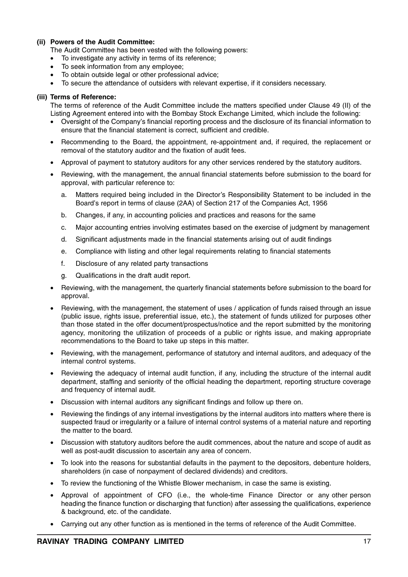#### (ii) Powers of the Audit Committee:

The Audit Committee has been vested with the following powers:

- To investigate any activity in terms of its reference;
- To seek information from any employee;
- To obtain outside legal or other professional advice;
- To secure the attendance of outsiders with relevant expertise, if it considers necessary.

#### (iii) Terms of Reference:

The terms of reference of the Audit Committee include the matters specified under Clause 49 (II) of the Listing Agreement entered into with the Bombay Stock Exchange Limited, which include the following:

- Oversight of the Company's financial reporting process and the disclosure of its financial information to ensure that the financial statement is correct, sufficient and credible.
- Recommending to the Board, the appointment, re-appointment and, if required, the replacement or removal of the statutory auditor and the fixation of audit fees.
- Approval of payment to statutory auditors for any other services rendered by the statutory auditors.
- Reviewing, with the management, the annual financial statements before submission to the board for approval, with particular reference to:
	- a. Matters required being included in the Director's Responsibility Statement to be included in the Board's report in terms of clause (2AA) of Section 217 of the Companies Act, 1956
	- b. Changes, if any, in accounting policies and practices and reasons for the same
	- c. Major accounting entries involving estimates based on the exercise of judgment by management
	- d. Significant adjustments made in the financial statements arising out of audit findings
	- e. Compliance with listing and other legal requirements relating to financial statements
	- f. Disclosure of any related party transactions
	- g. Qualifications in the draft audit report.
- Reviewing, with the management, the quarterly financial statements before submission to the board for approval.
- Reviewing, with the management, the statement of uses / application of funds raised through an issue (public issue, rights issue, preferential issue, etc.), the statement of funds utilized for purposes other than those stated in the offer document/prospectus/notice and the report submitted by the monitoring agency, monitoring the utilization of proceeds of a public or rights issue, and making appropriate recommendations to the Board to take up steps in this matter.
- Reviewing, with the management, performance of statutory and internal auditors, and adequacy of the internal control systems.
- Reviewing the adequacy of internal audit function, if any, including the structure of the internal audit department, staffing and seniority of the official heading the department, reporting structure coverage and frequency of internal audit.
- Discussion with internal auditors any significant findings and follow up there on.
- Reviewing the findings of any internal investigations by the internal auditors into matters where there is suspected fraud or irregularity or a failure of internal control systems of a material nature and reporting the matter to the board.
- Discussion with statutory auditors before the audit commences, about the nature and scope of audit as well as post-audit discussion to ascertain any area of concern.
- To look into the reasons for substantial defaults in the payment to the depositors, debenture holders, shareholders (in case of nonpayment of declared dividends) and creditors.
- To review the functioning of the Whistle Blower mechanism, in case the same is existing.
- Approval of appointment of CFO (i.e., the whole-time Finance Director or any other person heading the finance function or discharging that function) after assessing the qualifications, experience & background, etc. of the candidate.
- Carrying out any other function as is mentioned in the terms of reference of the Audit Committee.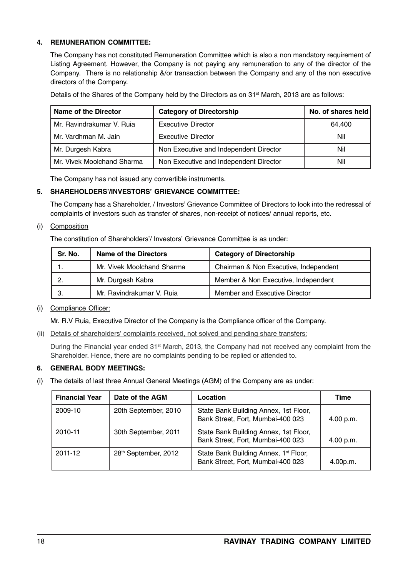#### 4. REMUNERATION COMMITTEE:

The Company has not constituted Remuneration Committee which is also a non mandatory requirement of Listing Agreement. However, the Company is not paying any remuneration to any of the director of the Company. There is no relationship &/or transaction between the Company and any of the non executive directors of the Company.

Details of the Shares of the Company held by the Directors as on 31<sup>st</sup> March, 2013 are as follows:

| Name of the Director       | <b>Category of Directorship</b>        | No. of shares held |
|----------------------------|----------------------------------------|--------------------|
| Mr. Ravindrakumar V. Ruia  | <b>Executive Director</b>              | 64.400             |
| Mr. Vardhman M. Jain       | <b>Executive Director</b>              | Nil                |
| Mr. Durgesh Kabra          | Non Executive and Independent Director | Nil                |
| Mr. Vivek Moolchand Sharma | Non Executive and Independent Director | Nil                |

The Company has not issued any convertible instruments.

#### 5. SHAREHOLDERS'/INVESTORS' GRIEVANCE COMMITTEE:

The Company has a Shareholder, / Investors' Grievance Committee of Directors to look into the redressal of complaints of investors such as transfer of shares, non-receipt of notices/ annual reports, etc.

#### (i) Composition

The constitution of Shareholders'/ Investors' Grievance Committee is as under:

| Sr. No. | <b>Name of the Directors</b> | <b>Category of Directorship</b>       |
|---------|------------------------------|---------------------------------------|
|         | Mr. Vivek Moolchand Sharma   | Chairman & Non Executive, Independent |
|         | Mr. Durgesh Kabra            | Member & Non Executive, Independent   |
|         | Mr. Ravindrakumar V. Ruja    | Member and Executive Director         |

#### (i) Compliance Officer:

Mr. R.V Ruia, Executive Director of the Company is the Compliance officer of the Company.

(ii) Details of shareholders' complaints received, not solved and pending share transfers:

During the Financial year ended 31<sup>st</sup> March, 2013, the Company had not received any complaint from the Shareholder. Hence, there are no complaints pending to be replied or attended to.

#### 6. GENERAL BODY MEETINGS:

(i) The details of last three Annual General Meetings (AGM) of the Company are as under:

| <b>Financial Year</b> | Date of the AGM                  | Location                                                                               | Time      |
|-----------------------|----------------------------------|----------------------------------------------------------------------------------------|-----------|
| 2009-10               | 20th September, 2010             | State Bank Building Annex, 1st Floor,<br>Bank Street, Fort, Mumbai-400 023             | 4.00 p.m. |
| 2010-11               | 30th September, 2011             | State Bank Building Annex, 1st Floor,<br>Bank Street, Fort, Mumbai-400 023             | 4.00 p.m. |
| 2011-12               | 28 <sup>th</sup> September, 2012 | State Bank Building Annex, 1 <sup>st</sup> Floor,<br>Bank Street, Fort, Mumbai-400 023 | 4.00 p.m. |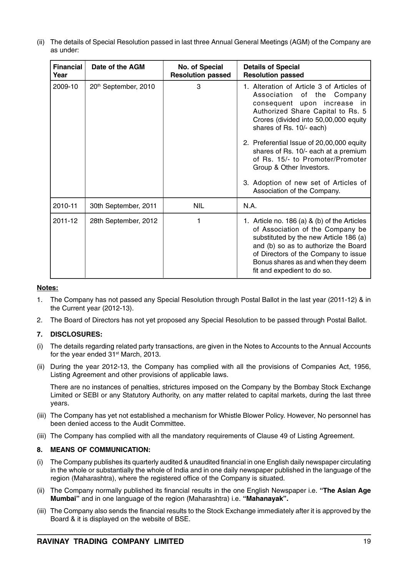(ii) The details of Special Resolution passed in last three Annual General Meetings (AGM) of the Company are as under:

| <b>Financial</b><br>Year | Date of the AGM      | No. of Special<br><b>Resolution passed</b> | <b>Details of Special</b><br><b>Resolution passed</b>                                                                                                                                                                                                                                                                                                                                                                                         |
|--------------------------|----------------------|--------------------------------------------|-----------------------------------------------------------------------------------------------------------------------------------------------------------------------------------------------------------------------------------------------------------------------------------------------------------------------------------------------------------------------------------------------------------------------------------------------|
| 2009-10                  | 20th September, 2010 | 3                                          | 1. Alteration of Article 3 of Articles of<br>Association of the Company<br>consequent upon increase in<br>Authorized Share Capital to Rs. 5<br>Crores (divided into 50,00,000 equity<br>shares of Rs. 10/- each)<br>2. Preferential Issue of 20,00,000 equity<br>shares of Rs. 10/- each at a premium<br>of Rs. 15/- to Promoter/Promoter<br>Group & Other Investors.<br>3. Adoption of new set of Articles of<br>Association of the Company. |
| 2010-11                  | 30th September, 2011 | <b>NIL</b>                                 | N.A.                                                                                                                                                                                                                                                                                                                                                                                                                                          |
| 2011-12                  | 28th September, 2012 |                                            | 1. Article no. 186 (a) & (b) of the Articles<br>of Association of the Company be<br>substituted by the new Article 186 (a)<br>and (b) so as to authorize the Board<br>of Directors of the Company to issue<br>Bonus shares as and when they deem<br>fit and expedient to do so.                                                                                                                                                               |

#### Notes:

- 1. The Company has not passed any Special Resolution through Postal Ballot in the last year (2011-12) & in the Current year (2012-13).
- 2. The Board of Directors has not yet proposed any Special Resolution to be passed through Postal Ballot.

#### 7. DISCLOSURES:

- (i) The details regarding related party transactions, are given in the Notes to Accounts to the Annual Accounts for the year ended 31<sup>st</sup> March, 2013.
- (ii) During the year 2012-13, the Company has complied with all the provisions of Companies Act, 1956, Listing Agreement and other provisions of applicable laws.

There are no instances of penalties, strictures imposed on the Company by the Bombay Stock Exchange Limited or SEBI or any Statutory Authority, on any matter related to capital markets, during the last three years.

- (iii) The Company has yet not established a mechanism for Whistle Blower Policy. However, No personnel has been denied access to the Audit Committee.
- (iii) The Company has complied with all the mandatory requirements of Clause 49 of Listing Agreement.

#### 8. MEANS OF COMMUNICATION:

- (i) The Company publishes its quarterly audited & unaudited financial in one English daily newspaper circulating in the whole or substantially the whole of India and in one daily newspaper published in the language of the region (Maharashtra), where the registered office of the Company is situated.
- (ii) The Company normally published its financial results in the one English Newspaper i.e. "The Asian Age Mumbai" and in one language of the region (Maharashtra) i.e. "Mahanayak".
- (iii) The Company also sends the financial results to the Stock Exchange immediately after it is approved by the Board & it is displayed on the website of BSE.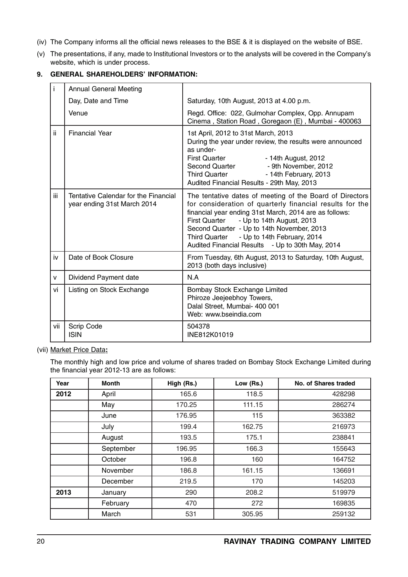- (iv) The Company informs all the official news releases to the BSE & it is displayed on the website of BSE.
- (v) The presentations, if any, made to Institutional Investors or to the analysts will be covered in the Company's website, which is under process.

| İ            | <b>Annual General Meeting</b>                                       |                                                                                                                                                                                                                                                                                                                                                                                    |
|--------------|---------------------------------------------------------------------|------------------------------------------------------------------------------------------------------------------------------------------------------------------------------------------------------------------------------------------------------------------------------------------------------------------------------------------------------------------------------------|
|              | Day, Date and Time                                                  | Saturday, 10th August, 2013 at 4.00 p.m.                                                                                                                                                                                                                                                                                                                                           |
|              | Venue                                                               | Regd. Office: 022, Gulmohar Complex, Opp. Annupam<br>Cinema, Station Road, Goregaon (E), Mumbai - 400063                                                                                                                                                                                                                                                                           |
| ii.          | <b>Financial Year</b>                                               | 1st April, 2012 to 31st March, 2013<br>During the year under review, the results were announced<br>as under-<br><b>First Quarter</b><br>- 14th August, 2012<br>Second Quarter<br>- 9th November, 2012<br><b>Third Quarter</b><br>- 14th February, 2013<br>Audited Financial Results - 29th May, 2013                                                                               |
| iii.         | Tentative Calendar for the Financial<br>year ending 31st March 2014 | The tentative dates of meeting of the Board of Directors<br>for consideration of quarterly financial results for the<br>financial year ending 31st March, 2014 are as follows:<br><b>First Quarter</b><br>- Up to 14th August, 2013<br>Second Quarter - Up to 14th November, 2013<br>Third Quarter - Up to 14th February, 2014<br>Audited Financial Results - Up to 30th May, 2014 |
| iv           | Date of Book Closure                                                | From Tuesday, 6th August, 2013 to Saturday, 10th August,<br>2013 (both days inclusive)                                                                                                                                                                                                                                                                                             |
| $\mathsf{V}$ | Dividend Payment date                                               | N.A                                                                                                                                                                                                                                                                                                                                                                                |
| vi           | Listing on Stock Exchange                                           | Bombay Stock Exchange Limited<br>Phiroze Jeejeebhoy Towers,<br>Dalal Street, Mumbai- 400 001<br>Web: www.bseindia.com                                                                                                                                                                                                                                                              |
| vii          | Scrip Code<br><b>ISIN</b>                                           | 504378<br>INE812K01019                                                                                                                                                                                                                                                                                                                                                             |

#### 9. GENERAL SHAREHOLDERS' INFORMATION:

(vii) Market Price Data:

The monthly high and low price and volume of shares traded on Bombay Stock Exchange Limited during the financial year 2012-13 are as follows:

| Year | Month     | High (Rs.) | Low (Rs.) | No. of Shares traded |
|------|-----------|------------|-----------|----------------------|
| 2012 | April     | 165.6      | 118.5     | 428298               |
|      | May       | 170.25     | 111.15    | 286274               |
|      | June      | 176.95     | 115       | 363382               |
|      | July      | 199.4      | 162.75    | 216973               |
|      | August    | 193.5      | 175.1     | 238841               |
|      | September | 196.95     | 166.3     | 155643               |
|      | October   | 196.8      | 160       | 164752               |
|      | November  | 186.8      | 161.15    | 136691               |
|      | December  | 219.5      | 170       | 145203               |
| 2013 | January   | 290        | 208.2     | 519979               |
|      | February  | 470        | 272       | 169835               |
|      | March     | 531        | 305.95    | 259132               |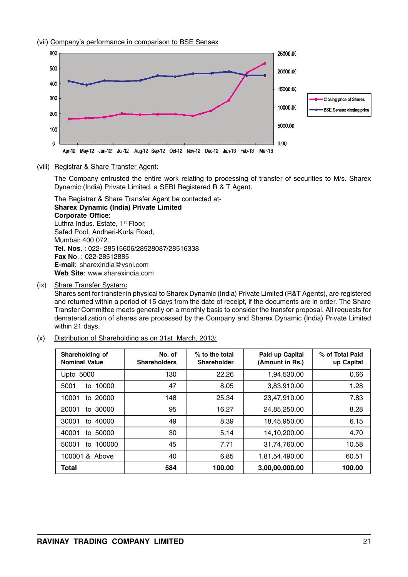#### (vii) Company's performance in comparison to BSE Sensex



#### (viii) Registrar & Share Transfer Agent:

The Company entrusted the entire work relating to processing of transfer of securities to M/s. Sharex Dynamic (India) Private Limited, a SEBI Registered R & T Agent.

The Registrar & Share Transfer Agent be contacted at-Sharex Dynamic (India) Private Limited Corporate Office: Luthra Indus. Estate, 1<sup>st</sup> Floor, Safed Pool, Andheri-Kurla Road, Mumbai: 400 072. Tel. Nos. : 022- 28515606/28528087/28516338 Fax No. : 022-28512885 E-mail: sharexindia@vsnl.com Web Site: www.sharexindia.com

(ix) Share Transfer System:

Shares sent for transfer in physical to Sharex Dynamic (India) Private Limited (R&T Agents), are registered and returned within a period of 15 days from the date of receipt, if the documents are in order. The Share Transfer Committee meets generally on a monthly basis to consider the transfer proposal. All requests for dematerialization of shares are processed by the Company and Sharex Dynamic (India) Private Limited within 21 days.

(x) Distribution of Shareholding as on 31st March, 2013:

| Shareholding of<br><b>Nominal Value</b> | No. of<br><b>Shareholders</b> | % to the total<br><b>Shareholder</b> | Paid up Capital<br>(Amount in Rs.) | % of Total Paid<br>up Capital |
|-----------------------------------------|-------------------------------|--------------------------------------|------------------------------------|-------------------------------|
| Upto 5000                               | 130                           | 22.26                                | 1,94,530.00                        | 0.66                          |
| 10000<br>5001<br>to                     | 47                            | 8.05                                 | 3,83,910.00                        | 1.28                          |
| to 20000<br>10001                       | 148                           | 25.34                                | 23,47,910.00                       | 7.83                          |
| 30000<br>20001<br>to                    | 95                            | 16.27                                | 24,85,250.00                       | 8.28                          |
| to 40000<br>30001                       | 49                            | 8.39                                 | 18,45,950.00                       | 6.15                          |
| 50000<br>40001<br>to                    | 30                            | 5.14                                 | 14,10,200.00                       | 4.70                          |
| 100000<br>50001<br>to                   | 45                            | 7.71                                 | 31,74,760.00                       | 10.58                         |
| &<br>Above<br>100001                    | 40                            | 6.85                                 | 1,81,54,490.00                     | 60.51                         |
| Total                                   | 584                           | 100.00                               | 3,00,00,000.00                     | 100.00                        |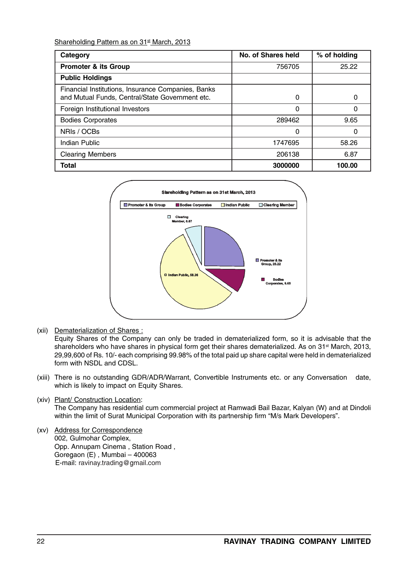#### Shareholding Pattern as on 31<sup>st</sup> March, 2013

| Category                                                                                              | No. of Shares held | % of holding |
|-------------------------------------------------------------------------------------------------------|--------------------|--------------|
| <b>Promoter &amp; its Group</b>                                                                       | 756705             | 25.22        |
| <b>Public Holdings</b>                                                                                |                    |              |
| Financial Institutions, Insurance Companies, Banks<br>and Mutual Funds, Central/State Government etc. | 0                  | O            |
| Foreign Institutional Investors                                                                       | 0                  | 0            |
| <b>Bodies Corporates</b>                                                                              | 289462             | 9.65         |
| NRIs / OCBs                                                                                           | 0                  | O            |
| Indian Public                                                                                         | 1747695            | 58.26        |
| <b>Clearing Members</b>                                                                               | 206138             | 6.87         |
| Total                                                                                                 | 3000000            | 100.00       |



- (xii) Dematerialization of Shares : Equity Shares of the Company can only be traded in dematerialized form, so it is advisable that the shareholders who have shares in physical form get their shares dematerialized. As on 31<sup>st</sup> March, 2013, 29,99,600 of Rs. 10/- each comprising 99.98% of the total paid up share capital were held in dematerialized form with NSDL and CDSL.
- (xiii) There is no outstanding GDR/ADR/Warrant, Convertible Instruments etc. or any Conversation date, which is likely to impact on Equity Shares.
- (xiv) Plant/ Construction Location: The Company has residential cum commercial project at Ramwadi Bail Bazar, Kalyan (W) and at Dindoli within the limit of Surat Municipal Corporation with its partnership firm "M/s Mark Developers".
- (xv) Address for Correspondence 002, Gulmohar Complex, Opp. Annupam Cinema , Station Road , Goregaon (E) , Mumbai – 400063 E-mail: ravinay.trading@gmail.com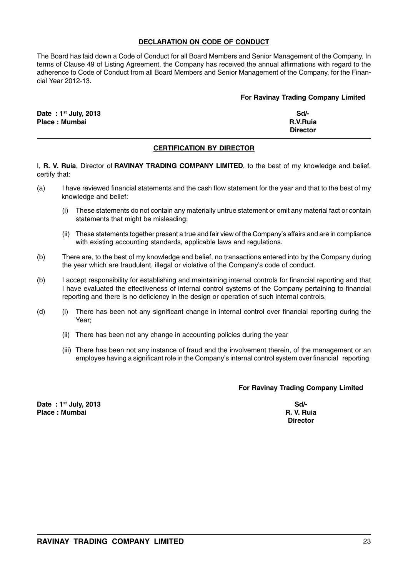#### DECLARATION ON CODE OF CONDUCT

The Board has laid down a Code of Conduct for all Board Members and Senior Management of the Company. In terms of Clause 49 of Listing Agreement, the Company has received the annual affirmations with regard to the adherence to Code of Conduct from all Board Members and Senior Management of the Company, for the Financial Year 2012-13.

#### For Ravinay Trading Company Limited

| Date: $1st$ July, 2013 | Sd/-            |
|------------------------|-----------------|
| Place: Mumbai          | R.V.Ruia        |
|                        | <b>Director</b> |

#### CERTIFICATION BY DIRECTOR

I, R. V. Ruia, Director of RAVINAY TRADING COMPANY LIMITED, to the best of my knowledge and belief, certify that:

- (a) I have reviewed financial statements and the cash flow statement for the year and that to the best of my knowledge and belief:
	- (i) These statements do not contain any materially untrue statement or omit any material fact or contain statements that might be misleading;
	- (ii) These statements together present a true and fair view of the Company's affairs and are in compliance with existing accounting standards, applicable laws and regulations.
- (b) There are, to the best of my knowledge and belief, no transactions entered into by the Company during the year which are fraudulent, illegal or violative of the Company's code of conduct.
- (b) I accept responsibility for establishing and maintaining internal controls for financial reporting and that I have evaluated the effectiveness of internal control systems of the Company pertaining to financial reporting and there is no deficiency in the design or operation of such internal controls.
- (d) (i) There has been not any significant change in internal control over financial reporting during the Year;
	- (ii) There has been not any change in accounting policies during the year
	- (iii) There has been not any instance of fraud and the involvement therein, of the management or an employee having a significant role in the Company's internal control system over financial reporting.

For Ravinay Trading Company Limited

**Director** 

Date : 1<sup>st</sup> July, 2013 **Sd/-**<br>Place : Mumbai State State State State State State State State State State State State State State State State S<br>B. V. Ruia Place : Mumbai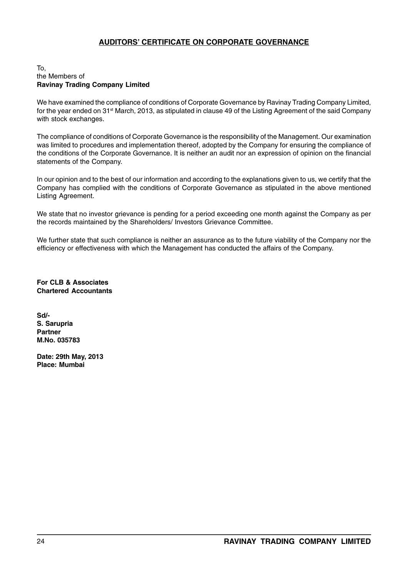#### AUDITORS' CERTIFICATE ON CORPORATE GOVERNANCE

#### To, the Members of Ravinay Trading Company Limited

We have examined the compliance of conditions of Corporate Governance by Ravinay Trading Company Limited, for the year ended on 31st March, 2013, as stipulated in clause 49 of the Listing Agreement of the said Company with stock exchanges.

The compliance of conditions of Corporate Governance is the responsibility of the Management. Our examination was limited to procedures and implementation thereof, adopted by the Company for ensuring the compliance of the conditions of the Corporate Governance. It is neither an audit nor an expression of opinion on the financial statements of the Company.

In our opinion and to the best of our information and according to the explanations given to us, we certify that the Company has complied with the conditions of Corporate Governance as stipulated in the above mentioned Listing Agreement.

We state that no investor grievance is pending for a period exceeding one month against the Company as per the records maintained by the Shareholders/ Investors Grievance Committee.

We further state that such compliance is neither an assurance as to the future viability of the Company nor the efficiency or effectiveness with which the Management has conducted the affairs of the Company.

For CLB & Associates Chartered Accountants

Sd/- S. Sarupria Partner M.No. 035783

Date: 29th May, 2013 Place: Mumbai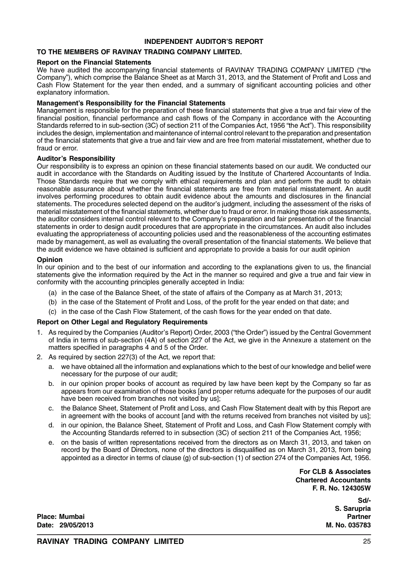#### INDEPENDENT AUDITOR'S REPORT

#### TO THE MEMBERS OF RAVINAY TRADING COMPANY LIMITED.

#### Report on the Financial Statements

We have audited the accompanying financial statements of RAVINAY TRADING COMPANY LIMITED ("the Company"), which comprise the Balance Sheet as at March 31, 2013, and the Statement of Profit and Loss and Cash Flow Statement for the year then ended, and a summary of significant accounting policies and other explanatory information.

#### Management's Responsibility for the Financial Statements

Management is responsible for the preparation of these financial statements that give a true and fair view of the financial position, financial performance and cash flows of the Company in accordance with the Accounting Standards referred to in sub-section (3C) of section 211 of the Companies Act, 1956 "the Act"). This responsibility includes the design, implementation and maintenance of internal control relevant to the preparation and presentation of the financial statements that give a true and fair view and are free from material misstatement, whether due to fraud or error.

#### Auditor's Responsibility

Our responsibility is to express an opinion on these financial statements based on our audit. We conducted our audit in accordance with the Standards on Auditing issued by the Institute of Chartered Accountants of India. Those Standards require that we comply with ethical requirements and plan and perform the audit to obtain reasonable assurance about whether the financial statements are free from material misstatement. An audit involves performing procedures to obtain audit evidence about the amounts and disclosures in the financial statements. The procedures selected depend on the auditor's judgment, including the assessment of the risks of material misstatement of the financial statements, whether due to fraud or error. In making those risk assessments, the auditor considers internal control relevant to the Company's preparation and fair presentation of the financial statements in order to design audit procedures that are appropriate in the circumstances. An audit also includes evaluating the appropriateness of accounting policies used and the reasonableness of the accounting estimates made by management, as well as evaluating the overall presentation of the financial statements. We believe that the audit evidence we have obtained is sufficient and appropriate to provide a basis for our audit opinion

#### **Opinion**

In our opinion and to the best of our information and according to the explanations given to us, the financial statements give the information required by the Act in the manner so required and give a true and fair view in conformity with the accounting principles generally accepted in India:

- (a) in the case of the Balance Sheet, of the state of affairs of the Company as at March 31, 2013;
- (b) in the case of the Statement of Profit and Loss, of the profit for the year ended on that date; and
- (c) in the case of the Cash Flow Statement, of the cash flows for the year ended on that date.

#### Report on Other Legal and Regulatory Requirements

- 1. As required by the Companies (Auditor's Report) Order, 2003 ("the Order") issued by the Central Government of India in terms of sub-section (4A) of section 227 of the Act, we give in the Annexure a statement on the matters specified in paragraphs 4 and 5 of the Order.
- 2. As required by section 227(3) of the Act, we report that:
	- a. we have obtained all the information and explanations which to the best of our knowledge and belief were necessary for the purpose of our audit;
	- b. in our opinion proper books of account as required by law have been kept by the Company so far as appears from our examination of those books [and proper returns adequate for the purposes of our audit have been received from branches not visited by us];
	- c. the Balance Sheet, Statement of Profit and Loss, and Cash Flow Statement dealt with by this Report are in agreement with the books of account [and with the returns received from branches not visited by us];
	- d. in our opinion, the Balance Sheet, Statement of Profit and Loss, and Cash Flow Statement comply with the Accounting Standards referred to in subsection (3C) of section 211 of the Companies Act, 1956;
	- e. on the basis of written representations received from the directors as on March 31, 2013, and taken on record by the Board of Directors, none of the directors is disqualified as on March 31, 2013, from being appointed as a director in terms of clause (g) of sub-section (1) of section 274 of the Companies Act, 1956.

For CLB & Associates Chartered Accountants F. R. No. 124305W

> Sd/- S. Sarupria

Place: Mumbai Partner Date: 29/05/2013 M. No. 035783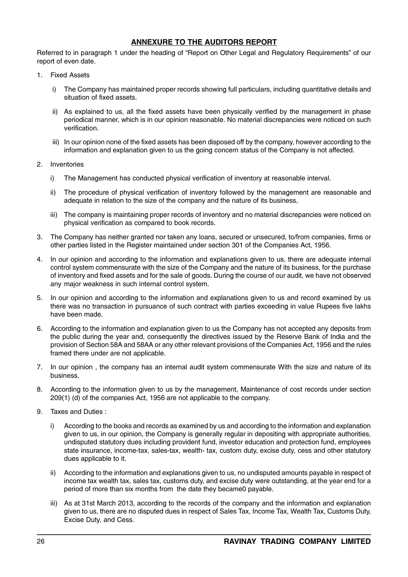#### ANNEXURE TO THE AUDITORS REPORT

Referred to in paragraph 1 under the heading of "Report on Other Legal and Regulatory Requirements" of our report of even date.

- 1. Fixed Assets
	- i) The Company has maintained proper records showing full particulars, including quantitative details and situation of fixed assets.
	- ii) As explained to us, all the fixed assets have been physically verified by the management in phase periodical manner, which is in our opinion reasonable. No material discrepancies were noticed on such verification.
	- iii) In our opinion none of the fixed assets has been disposed off by the company, however according to the information and explanation given to us the going concern status of the Company is not affected.
- 2. Inventories
	- i) The Management has conducted physical verification of inventory at reasonable interval.
	- ii) The procedure of physical verification of inventory followed by the management are reasonable and adequate in relation to the size of the company and the nature of its business,
	- iii) The company is maintaining proper records of inventory and no material discrepancies were noticed on physical verification as compared to book records.
- 3. The Company has neither granted nor taken any loans, secured or unsecured, to/from companies, firms or other parties listed in the Register maintained under section 301 of the Companies Act, 1956.
- 4. In our opinion and according to the information and explanations given to us, there are adequate internal control system commensurate with the size of the Company and the nature of its business, for the purchase of inventory and fixed assets and for the sale of goods. During the course of our audit, we have not observed any major weakness in such internal control system.
- 5. In our opinion and according to the information and explanations given to us and record examined by us there was no transaction in pursuance of such contract with parties exceeding in value Rupees five lakhs have been made.
- 6. According to the information and explanation given to us the Company has not accepted any deposits from the public during the year and, consequently the directives issued by the Reserve Bank of India and the provision of Section 58A and 58AA or any other relevant provisions of the Companies Act, 1956 and the rules framed there under are not applicable.
- 7. In our opinion , the company has an internal audit system commensurate With the size and nature of its business.
- 8. According to the information given to us by the management, Maintenance of cost records under section 209(1) (d) of the companies Act, 1956 are not applicable to the company.
- 9. Taxes and Duties :
	- i) According to the books and records as examined by us and according to the information and explanation given to us, in our opinion, the Company is generally regular in depositing with appropriate authorities, undisputed statutory dues including provident fund, investor education and protection fund, employees state insurance, income-tax, sales-tax, wealth- tax, custom duty, excise duty, cess and other statutory dues applicable to it.
	- ii) According to the information and explanations given to us, no undisputed amounts payable in respect of income tax wealth tax, sales tax, customs duty, and excise duty were outstanding, at the year end for a period of more than six months from the date they became0 payable.
	- iii) As at 31st March 2013, according to the records of the company and the information and explanation given to us, there are no disputed dues in respect of Sales Tax, Income Tax, Wealth Tax, Customs Duty, Excise Duty, and Cess.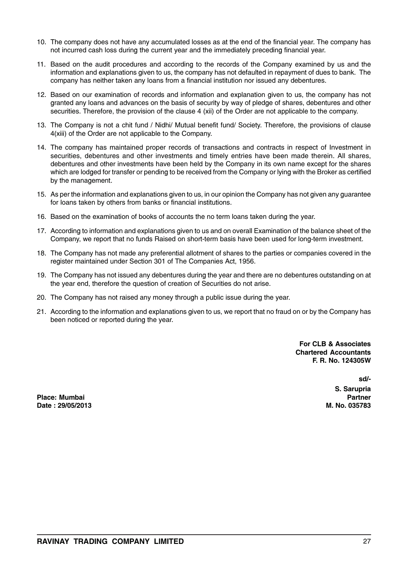- 10. The company does not have any accumulated losses as at the end of the financial year. The company has not incurred cash loss during the current year and the immediately preceding financial year.
- 11. Based on the audit procedures and according to the records of the Company examined by us and the information and explanations given to us, the company has not defaulted in repayment of dues to bank. The company has neither taken any loans from a financial institution nor issued any debentures.
- 12. Based on our examination of records and information and explanation given to us, the company has not granted any loans and advances on the basis of security by way of pledge of shares, debentures and other securities. Therefore, the provision of the clause 4 (xii) of the Order are not applicable to the company.
- 13. The Company is not a chit fund / Nidhi/ Mutual benefit fund/ Society. Therefore, the provisions of clause 4(xiii) of the Order are not applicable to the Company.
- 14. The company has maintained proper records of transactions and contracts in respect of Investment in securities, debentures and other investments and timely entries have been made therein. All shares, debentures and other investments have been held by the Company in its own name except for the shares which are lodged for transfer or pending to be received from the Company or lying with the Broker as certified by the management.
- 15. As per the information and explanations given to us, in our opinion the Company has not given any guarantee for loans taken by others from banks or financial institutions.
- 16. Based on the examination of books of accounts the no term loans taken during the year.
- 17. According to information and explanations given to us and on overall Examination of the balance sheet of the Company, we report that no funds Raised on short-term basis have been used for long-term investment.
- 18. The Company has not made any preferential allotment of shares to the parties or companies covered in the register maintained under Section 301 of The Companies Act, 1956.
- 19. The Company has not issued any debentures during the year and there are no debentures outstanding on at the year end, therefore the question of creation of Securities do not arise.
- 20. The Company has not raised any money through a public issue during the year.
- 21. According to the information and explanations given to us, we report that no fraud on or by the Company has been noticed or reported during the year.

For CLB & Associates Chartered Accountants F. R. No. 124305W

Place: Mumbai Partner<br>
Date : 29/05/2013 M. No. 035783 Date: 29/05/2013

sd/- S. Sarupria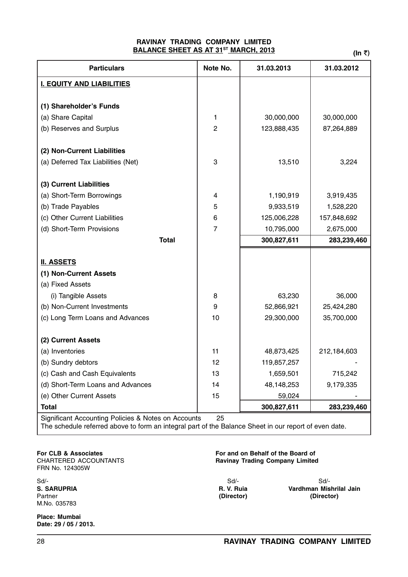#### RAVINAY TRADING COMPANY LIMITED BALANCE SHEET AS AT 31<sup>ST</sup> MARCH, 2013

(In  $\bar{z}$ )

| <b>Particulars</b>                                        | Note No.       | 31.03.2013  | 31.03.2012  |  |  |
|-----------------------------------------------------------|----------------|-------------|-------------|--|--|
| <b>I. EQUITY AND LIABILITIES</b>                          |                |             |             |  |  |
|                                                           |                |             |             |  |  |
| (1) Shareholder's Funds                                   |                |             |             |  |  |
| (a) Share Capital                                         | 1              | 30,000,000  | 30,000,000  |  |  |
| (b) Reserves and Surplus                                  | $\overline{c}$ | 123,888,435 | 87,264,889  |  |  |
| (2) Non-Current Liabilities                               |                |             |             |  |  |
|                                                           | 3              |             |             |  |  |
| (a) Deferred Tax Liabilities (Net)                        |                | 13,510      | 3,224       |  |  |
| (3) Current Liabilities                                   |                |             |             |  |  |
| (a) Short-Term Borrowings                                 | 4              | 1,190,919   | 3,919,435   |  |  |
| (b) Trade Payables                                        | 5              | 9,933,519   | 1,528,220   |  |  |
| (c) Other Current Liabilities                             | 6              | 125,006,228 | 157,848,692 |  |  |
| (d) Short-Term Provisions                                 | $\overline{7}$ | 10,795,000  | 2,675,000   |  |  |
| <b>Total</b>                                              |                | 300,827,611 | 283,239,460 |  |  |
|                                                           |                |             |             |  |  |
| <b>II. ASSETS</b>                                         |                |             |             |  |  |
| (1) Non-Current Assets                                    |                |             |             |  |  |
| (a) Fixed Assets                                          |                |             |             |  |  |
| (i) Tangible Assets                                       | 8              | 63,230      | 36,000      |  |  |
| (b) Non-Current Investments                               | 9              | 52,866,921  | 25,424,280  |  |  |
| (c) Long Term Loans and Advances                          | 10             | 29,300,000  | 35,700,000  |  |  |
| (2) Current Assets                                        |                |             |             |  |  |
| (a) Inventories                                           | 11             | 48,873,425  | 212,184,603 |  |  |
| (b) Sundry debtors                                        | 12             | 119,857,257 |             |  |  |
| (c) Cash and Cash Equivalents                             | 13             | 1,659,501   | 715,242     |  |  |
| (d) Short-Term Loans and Advances                         | 14             | 48,148,253  | 9,179,335   |  |  |
| (e) Other Current Assets                                  | 15             | 59,024      |             |  |  |
| <b>Total</b>                                              |                | 300,827,611 | 283,239,460 |  |  |
| Significant Accounting Policies & Notes on Accounts<br>25 |                |             |             |  |  |

The schedule referred above to form an integral part of the Balance Sheet in our report of even date.

FRN No. 124305W

Sd/- Sd/- Sd/- M.No. 035783

Place: Mumbai Date: 29 / 05 / 2013.

For CLB & Associates<br>
CHARTERED ACCOUNTANTS<br>
Ravinay Trading Company Limited Ravinay Trading Company Limited

S. SARUPRIA **S. SARUPRIA** R. V. Ruia Vardhman Mishrilal Jain<br>Partner (Director) (Director) (Director) Partner (Director) (Director)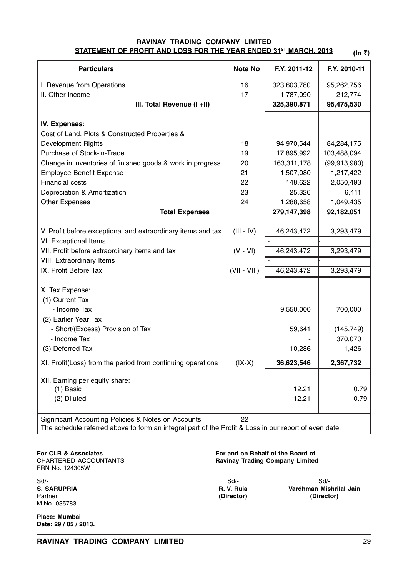#### RAVINAY TRADING COMPANY LIMITED STATEMENT OF PROFIT AND LOSS FOR THE YEAR ENDED 31<sup>st</sup> MARCH, 2013

 $(\ln \overline{\tau})$ 

|                                                                                                       |                |              | www.           |  |  |
|-------------------------------------------------------------------------------------------------------|----------------|--------------|----------------|--|--|
| <b>Particulars</b>                                                                                    | <b>Note No</b> | F.Y. 2011-12 | F.Y. 2010-11   |  |  |
| I. Revenue from Operations                                                                            | 16             | 323,603,780  | 95,262,756     |  |  |
| II. Other Income                                                                                      | 17             | 1,787,090    | 212,774        |  |  |
| III. Total Revenue (I +II)                                                                            |                | 325,390,871  | 95,475,530     |  |  |
| <b>IV. Expenses:</b>                                                                                  |                |              |                |  |  |
| Cost of Land, Plots & Constructed Properties &                                                        |                |              |                |  |  |
| <b>Development Rights</b>                                                                             | 18             | 94,970,544   | 84,284,175     |  |  |
| Purchase of Stock-in-Trade                                                                            | 19             | 17,895,992   | 103,488,094    |  |  |
| Change in inventories of finished goods & work in progress                                            | 20             | 163,311,178  | (99, 913, 980) |  |  |
| <b>Employee Benefit Expense</b>                                                                       | 21             | 1,507,080    | 1,217,422      |  |  |
| Financial costs                                                                                       | 22             | 148,622      | 2,050,493      |  |  |
| Depreciation & Amortization                                                                           | 23             | 25,326       | 6,411          |  |  |
| <b>Other Expenses</b>                                                                                 | 24             | 1,288,658    | 1,049,435      |  |  |
| <b>Total Expenses</b>                                                                                 |                | 279,147,398  | 92,182,051     |  |  |
|                                                                                                       |                |              |                |  |  |
| V. Profit before exceptional and extraordinary items and tax                                          | $(III - IV)$   | 46,243,472   | 3,293,479      |  |  |
| VI. Exceptional Items                                                                                 |                |              |                |  |  |
| VII. Profit before extraordinary items and tax                                                        | $(V - VI)$     | 46,243,472   | 3,293,479      |  |  |
| VIII. Extraordinary Items                                                                             |                |              |                |  |  |
| IX. Profit Before Tax                                                                                 | $(VII - VIII)$ | 46,243,472   | 3,293,479      |  |  |
|                                                                                                       |                |              |                |  |  |
| X. Tax Expense:                                                                                       |                |              |                |  |  |
| (1) Current Tax                                                                                       |                |              |                |  |  |
| - Income Tax                                                                                          |                | 9,550,000    | 700,000        |  |  |
| (2) Earlier Year Tax                                                                                  |                |              |                |  |  |
| - Short/(Excess) Provision of Tax                                                                     |                | 59,641       | (145, 749)     |  |  |
| - Income Tax                                                                                          |                |              | 370,070        |  |  |
| (3) Deferred Tax                                                                                      |                | 10,286       | 1,426          |  |  |
| XI. Profit(Loss) from the period from continuing operations                                           | $(IX-X)$       | 36,623,546   | 2,367,732      |  |  |
| XII. Earning per equity share:                                                                        |                |              |                |  |  |
| $(1)$ Basic                                                                                           |                | 12.21        | 0.79           |  |  |
| (2) Diluted                                                                                           |                | 12.21        | 0.79           |  |  |
|                                                                                                       |                |              |                |  |  |
| Significant Accounting Policies & Notes on Accounts                                                   | 22             |              |                |  |  |
| The schedule referred above to form an integral part of the Profit & Loss in our report of even date. |                |              |                |  |  |

FRN No. 124305W

Sd/- Sd/- Sd/- M.No. 035783

Place: Mumbai Date: 29 / 05 / 2013.

For CLB & Associates For and on Behalf of the Board of Ravinay Trading Company Limited

S. SARUPRIA **S. SARUPRIA** R. V. Ruia Vardhman Mishrilal Jain<br>Partner (Director) (Director) (Director) Partner (Director) (Director)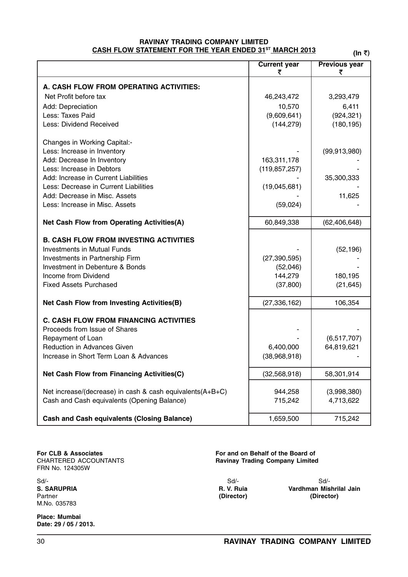#### RAVINAY TRADING COMPANY LIMITED CASH FLOW STATEMENT FOR THE YEAR ENDED 31ST MARCH 2013

(In  $\bar{z}$ )

|                                                           | <b>Current year</b><br>₹ | <b>Previous year</b><br>₹ |
|-----------------------------------------------------------|--------------------------|---------------------------|
| A. CASH FLOW FROM OPERATING ACTIVITIES:                   |                          |                           |
| Net Profit before tax                                     | 46,243,472               | 3,293,479                 |
| Add: Depreciation                                         | 10,570                   | 6,411                     |
| Less: Taxes Paid                                          | (9,609,641)              | (924, 321)                |
| Less: Dividend Received                                   | (144, 279)               | (180, 195)                |
| Changes in Working Capital:-                              |                          |                           |
| Less: Increase in Inventory                               |                          | (99, 913, 980)            |
| Add: Decrease In Inventory                                | 163,311,178              |                           |
| Less: Increase in Debtors                                 | (119, 857, 257)          |                           |
| Add: Increase in Current Liabilities                      |                          | 35,300,333                |
| Less: Decrease in Current Liabilities                     | (19,045,681)             |                           |
| Add: Decrease in Misc. Assets                             |                          | 11,625                    |
| Less: Increase in Misc. Assets                            | (59,024)                 |                           |
| Net Cash Flow from Operating Activities(A)                | 60,849,338               | (62, 406, 648)            |
| <b>B. CASH FLOW FROM INVESTING ACTIVITIES</b>             |                          |                           |
| <b>Investments in Mutual Funds</b>                        |                          | (52, 196)                 |
| Investments in Partnership Firm                           | (27, 390, 595)           |                           |
| Investment in Debenture & Bonds                           | (52,046)                 |                           |
| Income from Dividend                                      | 144,279                  | 180,195                   |
| <b>Fixed Assets Purchased</b>                             | (37,800)                 | (21, 645)                 |
| Net Cash Flow from Investing Activities(B)                | (27, 336, 162)           | 106,354                   |
| <b>C. CASH FLOW FROM FINANCING ACTIVITIES</b>             |                          |                           |
| Proceeds from Issue of Shares                             |                          |                           |
| Repayment of Loan                                         |                          | (6,517,707)               |
| <b>Reduction in Advances Given</b>                        | 6,400,000                | 64,819,621                |
| Increase in Short Term Loan & Advances                    | (38,968,918)             |                           |
| <b>Net Cash Flow from Financing Activities(C)</b>         | (32,568,918)             | 58,301,914                |
| Net increase/(decrease) in cash & cash equivalents(A+B+C) | 944,258                  | (3,998,380)               |
| Cash and Cash equivalents (Opening Balance)               | 715,242                  | 4,713,622                 |
| <b>Cash and Cash equivalents (Closing Balance)</b>        | 1,659,500                | 715,242                   |

FRN No. 124305W

Sd/- Sd/- Sd/- M.No. 035783

Place: Mumbai Date: 29 / 05 / 2013.

For CLB & Associates For and on Behalf of the Board of Ravinay Trading Company Limited

S. SARUPRIA **R. V. Ruia** Vardhman Mishrilal Jain<br>Partner (Director) (Director) (Director) Partner (Director) (Director)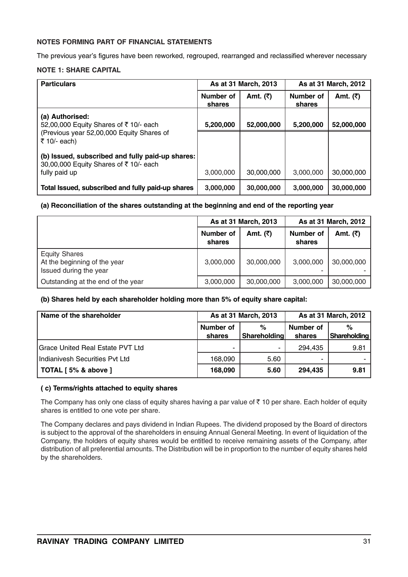#### NOTES FORMING PART OF FINANCIAL STATEMENTS

The previous year's figures have been reworked, regrouped, rearranged and reclassified wherever necessary

#### NOTE 1: SHARE CAPITAL

| <b>Particulars</b>                                                                        | As at 31 March, 2013 |            | As at 31 March, 2012 |             |
|-------------------------------------------------------------------------------------------|----------------------|------------|----------------------|-------------|
|                                                                                           | Number of<br>shares  | Amt. (₹)   | Number of<br>shares  | Amt. $($ ₹) |
| (a) Authorised:<br>52,00,000 Equity Shares of ₹10/- each                                  | 5,200,000            | 52,000,000 | 5,200,000            | 52,000,000  |
| (Previous year 52,00,000 Equity Shares of<br>₹ 10/- each)                                 |                      |            |                      |             |
| (b) Issued, subscribed and fully paid-up shares:<br>30,00,000 Equity Shares of ₹10/- each |                      |            |                      |             |
| fully paid up                                                                             | 3,000,000            | 30,000,000 | 3,000,000            | 30,000,000  |
| Total Issued, subscribed and fully paid-up shares                                         | 3,000,000            | 30,000,000 | 3,000,000            | 30,000,000  |

#### (a) Reconciliation of the shares outstanding at the beginning and end of the reporting year

|                                                                                | As at 31 March, 2013 |            | As at 31 March, 2012 |            |
|--------------------------------------------------------------------------------|----------------------|------------|----------------------|------------|
|                                                                                | Number of<br>shares  | Amt. $(5)$ | Number of<br>shares  | Amt. $(3)$ |
| <b>Equity Shares</b><br>At the beginning of the year<br>Issued during the year | 3,000,000            | 30,000,000 | 3,000,000            | 30,000,000 |
| Outstanding at the end of the year                                             | 3,000,000            | 30,000,000 | 3,000,000            | 30,000,000 |

#### (b) Shares held by each shareholder holding more than 5% of equity share capital:

| Name of the shareholder          |                     | As at 31 March, 2013 |                     | As at 31 March, 2012 |
|----------------------------------|---------------------|----------------------|---------------------|----------------------|
|                                  | Number of<br>shares | %<br>Shareholding    | Number of<br>shares | %<br>Shareholding    |
| Grace United Real Estate PVT Ltd |                     | ٠                    | 294,435             | 9.81                 |
| Indianivesh Securities Pvt Ltd   | 168,090             | 5.60                 |                     |                      |
| TOTAL [5% & above ]              | 168,090             | 5.60                 | 294,435             | 9.81                 |

#### ( c) Terms/rights attached to equity shares

The Company has only one class of equity shares having a par value of  $\bar{\tau}$  10 per share. Each holder of equity shares is entitled to one vote per share.

The Company declares and pays dividend in Indian Rupees. The dividend proposed by the Board of directors is subject to the approval of the shareholders in ensuing Annual General Meeting. In event of liquidation of the Company, the holders of equity shares would be entitled to receive remaining assets of the Company, after distribution of all preferential amounts. The Distribution will be in proportion to the number of equity shares held by the shareholders.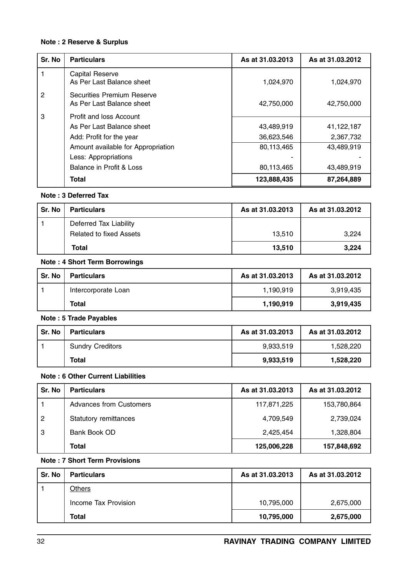#### Note : 2 Reserve & Surplus

| Sr. No       | <b>Particulars</b>                                      | As at 31.03.2013 | As at 31.03.2012 |
|--------------|---------------------------------------------------------|------------------|------------------|
|              | Capital Reserve<br>As Per Last Balance sheet            | 1,024,970        | 1,024,970        |
| $\mathbf{c}$ | Securities Premium Reserve<br>As Per Last Balance sheet | 42,750,000       | 42,750,000       |
| 3            | Profit and loss Account                                 |                  |                  |
|              | As Per Last Balance sheet                               | 43,489,919       | 41,122,187       |
|              | Add: Profit for the year                                | 36,623,546       | 2,367,732        |
|              | Amount available for Appropriation                      | 80,113,465       | 43,489,919       |
|              | Less: Appropriations                                    |                  |                  |
|              | Balance in Profit & Loss                                | 80,113,465       | 43,489,919       |
|              | Total                                                   | 123,888,435      | 87,264,889       |

#### Note : 3 Deferred Tax

| Sr. No | <b>Particulars</b>                                       | As at 31.03.2013 | As at 31.03.2012 |
|--------|----------------------------------------------------------|------------------|------------------|
|        | Deferred Tax Liability<br><b>Related to fixed Assets</b> | 13.510           | 3,224            |
|        | Total                                                    | 13,510           | 3,224            |

### Note : 4 Short Term Borrowings

| Sr. No | <b>Particulars</b>  | As at 31.03.2013 | As at 31.03.2012 |
|--------|---------------------|------------------|------------------|
|        | Intercorporate Loan | 1,190,919        | 3,919,435        |
|        | Total               | 1,190,919        | 3,919,435        |

#### Note : 5 Trade Payables

| Sr. No | <b>Particulars</b>      | As at 31.03.2013 | As at 31.03.2012 |
|--------|-------------------------|------------------|------------------|
|        | <b>Sundry Creditors</b> | 9,933,519        | 1,528,220        |
|        | Total                   | 9,933,519        | 1,528,220        |

#### Note : 6 Other Current Liabilities

| Sr. No         | <b>Particulars</b>             | As at 31.03.2013 | As at 31.03.2012 |
|----------------|--------------------------------|------------------|------------------|
|                | <b>Advances from Customers</b> | 117,871,225      | 153,780,864      |
| $\overline{2}$ | <b>Statutory remittances</b>   | 4,709,549        | 2,739,024        |
| 3              | Bank Book OD                   | 2,425,454        | 1,328,804        |
|                | Total                          | 125,006,228      | 157,848,692      |

#### Note : 7 Short Term Provisions

| Sr. No | <b>Particulars</b>   | As at 31.03.2013 | As at 31.03.2012 |
|--------|----------------------|------------------|------------------|
|        | <b>Others</b>        |                  |                  |
|        | Income Tax Provision | 10,795,000       | 2,675,000        |
|        | Total                | 10,795,000       | 2,675,000        |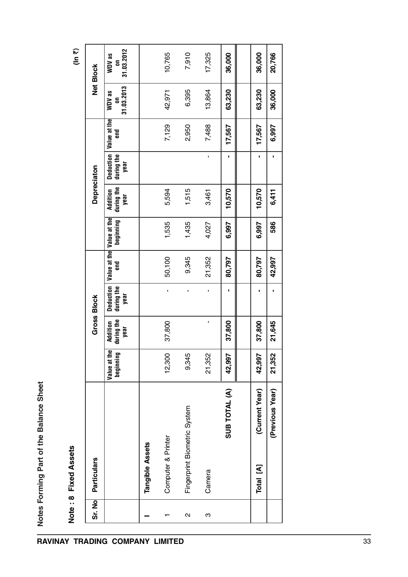| Sr. No       | <b>Particulars</b>                             |                           | <b>Gross Block</b>                    |                                 |                                  |           | Depreciaton                    |                                 |                     |                           | <b>Net Block</b>          |
|--------------|------------------------------------------------|---------------------------|---------------------------------------|---------------------------------|----------------------------------|-----------|--------------------------------|---------------------------------|---------------------|---------------------------|---------------------------|
|              |                                                | Value at the<br>beginning | during the<br><b>Addition</b><br>year | Deduction<br>during the<br>year | Value at the Value at the<br>end | beginning | during the<br>Addition<br>year | Deduction<br>during the<br>year | Value at the<br>end | 31.03.2013<br>WDV as<br>5 | 31.03.2012<br>WDV as<br>ã |
|              | Tangible Assets                                |                           |                                       |                                 |                                  |           |                                |                                 |                     |                           |                           |
| ↽            | Computer & Printer                             | 12,300                    | 37,800                                | $\mathbf{I}$                    | 50,100                           | 1,535     | 5,594                          |                                 | 7,129               | 42,971                    | 10,765                    |
| $\mathbf{a}$ | Fingerprint Biometric System                   | 9,345                     |                                       | $\blacksquare$                  | 9,345                            | 1,435     | 1,515                          |                                 | 2,950               | 6,395                     | 7,910                     |
| S            | Camera                                         | 21,352                    | $\blacksquare$                        | $\blacksquare$                  | 21,352                           | 4,027     | 3,461                          | $\blacksquare$                  | 7,488               | 13,864                    | 17,325                    |
|              | SUB TOTAL (A)                                  | 42,997                    | 37,800                                | $\blacksquare$                  | 80,797                           | 6,997     | 10,570                         | $\blacksquare$                  | 17,567              | 63,230                    | 36,000                    |
|              |                                                |                           |                                       |                                 |                                  |           |                                |                                 |                     |                           |                           |
|              | (Current Year)<br>$\mathbf{z}$<br><b>Total</b> | 42,997                    | 37,800                                | ×,                              | 80,797                           | 6,997     | 10,570                         | ×                               | 17,567              | 63,230                    | 36,000                    |
|              | Year)<br>(Previous                             | 21,352                    | 21,645                                | $\blacksquare$                  | 42,997                           | 586       | 6,411                          | ٠                               | 6,997               | 36,000                    | 20,766                    |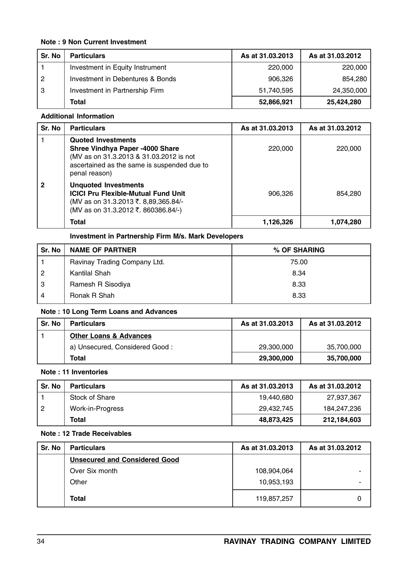### Note : 9 Non Current Investment

| Sr. No | <b>Particulars</b>               | As at 31.03.2013 | As at 31.03.2012 |
|--------|----------------------------------|------------------|------------------|
|        | Investment in Equity Instrument  | 220,000          | 220,000          |
| 2      | Investment in Debentures & Bonds | 906.326          | 854,280          |
| 3      | Investment in Partnership Firm   | 51,740,595       | 24,350,000       |
|        | Total                            | 52,866,921       | 25,424,280       |

#### Additional Information

| Sr. No       | <b>Particulars</b>                                                                                                                                                             | As at 31.03.2013 | As at 31.03.2012 |
|--------------|--------------------------------------------------------------------------------------------------------------------------------------------------------------------------------|------------------|------------------|
|              | <b>Quoted Investments</b><br><b>Shree Vindhya Paper -4000 Share</b><br>(MV as on 31.3.2013 & 31.03.2012 is not<br>ascertained as the same is suspended due to<br>penal reason) | 220,000          | 220,000          |
| $\mathbf{2}$ | <b>Unquoted Investments</b><br><b>ICICI Pru Flexible-Mutual Fund Unit</b><br>(MV as on 31.3.2013 ₹. 8,89,365.84/-<br>(MV as on 31.3.2012 ₹. 860386.84/-)                       | 906.326          | 854.280          |
|              | Total                                                                                                                                                                          | 1,126,326        | 1,074,280        |

#### Investment in Partnership Firm M/s. Mark Developers

| Sr. No | <b>NAME OF PARTNER</b>       | % OF SHARING |
|--------|------------------------------|--------------|
|        | Ravinay Trading Company Ltd. | 75.00        |
| 2      | Kantilal Shah                | 8.34         |
| 3      | Ramesh R Sisodiya            | 8.33         |
| 4      | Ronak R Shah                 | 8.33         |

#### Note : 10 Long Term Loans and Advances

| Sr. No | <b>Particulars</b>                | As at 31,03,2013 | As at 31.03.2012 |
|--------|-----------------------------------|------------------|------------------|
|        | <b>Other Loans &amp; Advances</b> |                  |                  |
|        | a) Unsecured, Considered Good:    | 29,300,000       | 35,700,000       |
|        | Total                             | 29,300,000       | 35,700,000       |

#### Note : 11 Inventories

| Sr. No | <b>Particulars</b> | As at 31.03.2013 | As at 31.03.2012 |
|--------|--------------------|------------------|------------------|
|        | Stock of Share     | 19.440.680       | 27,937,367       |
| -2     | Work-in-Progress   | 29.432.745       | 184,247,236      |
|        | Total              | 48,873,425       | 212,184,603      |

#### Note : 12 Trade Receivables

| Sr. No | <b>Particulars</b>                   | As at 31.03.2013 | As at 31.03.2012 |
|--------|--------------------------------------|------------------|------------------|
|        | <b>Unsecured and Considered Good</b> |                  |                  |
|        | Over Six month                       | 108,904,064      | ۰                |
|        | Other                                | 10,953,193       |                  |
|        | Total                                | 119,857,257      |                  |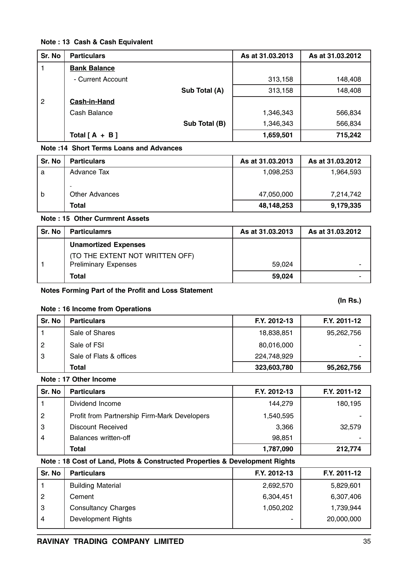### Note : 13 Cash & Cash Equivalent

| Sr. No         | <b>Particulars</b>  | As at 31.03.2013 | As at 31.03.2012 |
|----------------|---------------------|------------------|------------------|
|                | <b>Bank Balance</b> |                  |                  |
|                | - Current Account   | 313,158          | 148,408          |
|                | Sub Total (A)       | 313,158          | 148,408          |
| $\overline{2}$ | Cash-in-Hand        |                  |                  |
|                | Cash Balance        | 1,346,343        | 566,834          |
|                | Sub Total (B)       | 1,346,343        | 566,834          |
|                | Total $[A + B]$     | 1,659,501        | 715,242          |

#### Note :14 Short Terms Loans and Advances

| Sr. No | <b>Particulars</b>    | As at 31.03.2013 | As at 31.03.2012 |
|--------|-----------------------|------------------|------------------|
| а      | Advance Tax           | 1,098,253        | 1,964,593        |
| b      | <b>Other Advances</b> | 47,050,000       | 7,214,742        |
|        | Total                 | 48,148,253       | 9,179,335        |

#### Note : 15 Other Curmrent Assets

| Sr. No | <b>Particulamrs</b>             | As at 31.03.2013 | As at 31.03.2012 |
|--------|---------------------------------|------------------|------------------|
|        | <b>Unamortized Expenses</b>     |                  |                  |
|        | (TO THE EXTENT NOT WRITTEN OFF) |                  |                  |
|        | <b>Preliminary Expenses</b>     | 59.024           | -                |
|        | <b>Total</b>                    | 59.024           |                  |

#### Notes Forming Part of the Profit and Loss Statement

#### Note : 16 Income from Operations

| Sr. No | <b>Particulars</b>      | F.Y. 2012-13 | F.Y. 2011-12 |
|--------|-------------------------|--------------|--------------|
|        | Sale of Shares          | 18,838,851   | 95,262,756   |
| 2      | Sale of FSI             | 80,016,000   |              |
| 3      | Sale of Flats & offices | 224,748,929  |              |
|        | <b>Total</b>            | 323,603,780  | 95,262,756   |

#### Note : 17 Other Income

| Sr. No         | <b>Particulars</b>                           | F.Y. 2012-13 | F.Y. 2011-12 |
|----------------|----------------------------------------------|--------------|--------------|
|                | Dividend Income                              | 144.279      | 180,195      |
| $\overline{2}$ | Profit from Partnership Firm-Mark Developers | 1,540,595    |              |
| . 3            | Discount Received                            | 3,366        | 32,579       |
| $\overline{4}$ | Balances written-off                         | 98,851       |              |
|                | Total                                        | 1,787,090    | 212,774      |

#### Note : 18 Cost of Land, Plots & Constructed Properties & Development Rights

| Sr. No         | <b>Particulars</b>         | F.Y. 2012-13 | F.Y. 2011-12 |
|----------------|----------------------------|--------------|--------------|
|                | <b>Building Material</b>   | 2,692,570    | 5,829,601    |
| i 2            | Cement                     | 6,304,451    | 6,307,406    |
| $\sqrt{3}$     | <b>Consultancy Charges</b> | 1,050,202    | 1,739,944    |
| $\overline{4}$ | Development Rights         | -            | 20,000,000   |

## (In Rs.)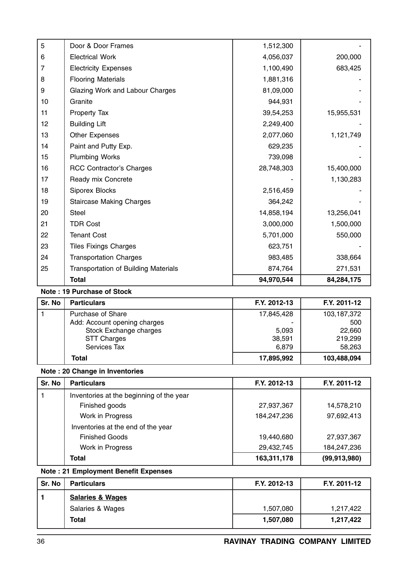| 5              | Door & Door Frames                          | 1,512,300  |            |
|----------------|---------------------------------------------|------------|------------|
| 6              | <b>Electrical Work</b>                      | 4,056,037  | 200,000    |
| $\overline{7}$ | <b>Electricity Expenses</b>                 | 1,100,490  | 683,425    |
| 8              | <b>Flooring Materials</b>                   | 1,881,316  |            |
| 9              | Glazing Work and Labour Charges             | 81,09,000  |            |
| 10             | Granite                                     | 944,931    |            |
| 11             | Property Tax                                | 39,54,253  | 15,955,531 |
| 12             | <b>Building Lift</b>                        | 2,249,400  |            |
| 13             | Other Expenses                              | 2,077,060  | 1,121,749  |
| 14             | Paint and Putty Exp.                        | 629,235    |            |
| 15             | <b>Plumbing Works</b>                       | 739,098    |            |
| 16             | <b>RCC Contractor's Charges</b>             | 28,748,303 | 15,400,000 |
| 17             | Ready mix Concrete                          |            | 1,130,283  |
| 18             | Siporex Blocks                              | 2,516,459  |            |
| 19             | <b>Staircase Making Charges</b>             | 364,242    |            |
| 20             | <b>Steel</b>                                | 14,858,194 | 13,256,041 |
| 21             | <b>TDR Cost</b>                             | 3,000,000  | 1,500,000  |
| 22             | <b>Tenant Cost</b>                          | 5,701,000  | 550,000    |
| 23             | <b>Tiles Fixings Charges</b>                | 623,751    |            |
| 24             | <b>Transportation Charges</b>               | 983,485    | 338,664    |
| 25             | <b>Transportation of Building Materials</b> | 874,764    | 271,531    |
|                | <b>Total</b>                                | 94,970,544 | 84,284,175 |

#### Note : 19 Purchase of Stock

| Sr. No | <b>Particulars</b>           | F.Y. 2012-13 | F.Y. 2011-12 |
|--------|------------------------------|--------------|--------------|
|        | <b>Purchase of Share</b>     | 17,845,428   | 103,187,372  |
|        | Add: Account opening charges |              | 500          |
|        | Stock Exchange charges       | 5,093        | 22,660       |
|        | <b>STT Charges</b>           | 38,591       | 219,299      |
|        | Services Tax                 | 6,879        | 58,263       |
|        | Total                        | 17,895,992   | 103,488,094  |

#### Note : 20 Change in Inventories

| Sr. No | <b>Particulars</b>                       | F.Y. 2012-13 | F.Y. 2011-12   |
|--------|------------------------------------------|--------------|----------------|
|        | Inventories at the beginning of the year |              |                |
|        | Finished goods                           | 27,937,367   | 14,578,210     |
|        | Work in Progress                         | 184,247,236  | 97,692,413     |
|        | Inventories at the end of the year       |              |                |
|        | <b>Finished Goods</b>                    | 19,440,680   | 27,937,367     |
|        | Work in Progress                         | 29,432,745   | 184,247,236    |
|        | Total                                    | 163,311,178  | (99, 913, 980) |

## Note : 21 Employment Benefit Expenses

| Sr. No | <b>Particulars</b>          | F.Y. 2012-13 | F.Y. 2011-12 |
|--------|-----------------------------|--------------|--------------|
|        | <b>Salaries &amp; Wages</b> |              |              |
|        | Salaries & Wages            | 1,507,080    | 1,217,422    |
|        | Total                       | 1,507,080    | 1,217,422    |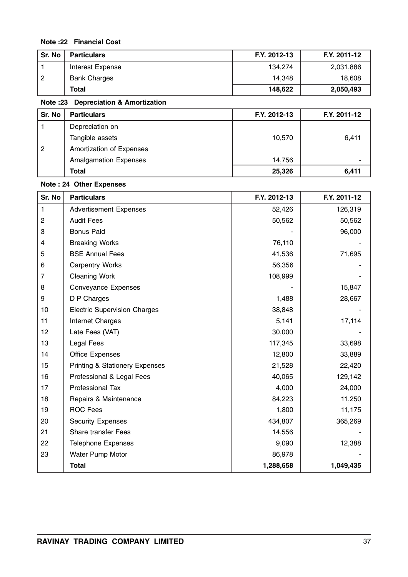#### Note :22 Financial Cost

| Sr. No | <b>Particulars</b>  | F.Y. 2012-13 | F.Y. 2011-12 |
|--------|---------------------|--------------|--------------|
|        | Interest Expense    | 134.274      | 2,031,886    |
| 2      | <b>Bank Charges</b> | 14.348       | 18,608       |
|        | Total               | 148,622      | 2,050,493    |

## Note :23 Depreciation & Amortization

| Sr. No         | <b>Particulars</b>           | F.Y. 2012-13 | F.Y. 2011-12 |
|----------------|------------------------------|--------------|--------------|
|                | Depreciation on              |              |              |
|                | Tangible assets              | 10,570       | 6,411        |
| $\overline{2}$ | Amortization of Expenses     |              |              |
|                | <b>Amalgamation Expenses</b> | 14,756       | ۰            |
|                | Total                        | 25,326       | 6,411        |

#### Note : 24 Other Expenses

| Sr. No         | <b>Particulars</b>                        | F.Y. 2012-13 | F.Y. 2011-12 |
|----------------|-------------------------------------------|--------------|--------------|
| 1              | <b>Advertisement Expenses</b>             | 52,426       | 126,319      |
| $\overline{c}$ | <b>Audit Fees</b>                         | 50,562       | 50,562       |
| 3              | <b>Bonus Paid</b>                         |              | 96,000       |
| 4              | <b>Breaking Works</b>                     | 76,110       |              |
| 5              | <b>BSE Annual Fees</b>                    | 41,536       | 71,695       |
| 6              | <b>Carpentry Works</b>                    | 56,356       |              |
| 7              | <b>Cleaning Work</b>                      | 108,999      |              |
| 8              | <b>Conveyance Expenses</b>                |              | 15,847       |
| 9              | D P Charges                               | 1,488        | 28,667       |
| 10             | <b>Electric Supervision Charges</b>       | 38,848       |              |
| 11             | Internet Charges                          | 5,141        | 17,114       |
| 12             | Late Fees (VAT)                           | 30,000       |              |
| 13             | Legal Fees                                | 117,345      | 33,698       |
| 14             | <b>Office Expenses</b>                    | 12,800       | 33,889       |
| 15             | <b>Printing &amp; Stationery Expenses</b> | 21,528       | 22,420       |
| 16             | Professional & Legal Fees                 | 40,065       | 129,142      |
| 17             | Professional Tax                          | 4,000        | 24,000       |
| 18             | Repairs & Maintenance                     | 84,223       | 11,250       |
| 19             | <b>ROC Fees</b>                           | 1,800        | 11,175       |
| 20             | <b>Security Expenses</b>                  | 434,807      | 365,269      |
| 21             | <b>Share transfer Fees</b>                | 14,556       |              |
| 22             | <b>Telephone Expenses</b>                 | 9,090        | 12,388       |
| 23             | Water Pump Motor                          | 86,978       |              |
|                | <b>Total</b>                              | 1,288,658    | 1,049,435    |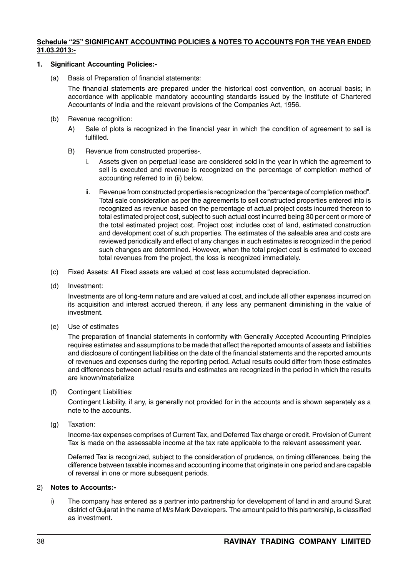#### Schedule "25" SIGNIFICANT ACCOUNTING POLICIES & NOTES TO ACCOUNTS FOR THE YEAR ENDED 31.03.2013:-

#### 1. Significant Accounting Policies:-

(a) Basis of Preparation of financial statements:

The financial statements are prepared under the historical cost convention, on accrual basis; in accordance with applicable mandatory accounting standards issued by the Institute of Chartered Accountants of India and the relevant provisions of the Companies Act, 1956.

- (b) Revenue recognition:
	- A) Sale of plots is recognized in the financial year in which the condition of agreement to sell is fulfilled.
	- B) Revenue from constructed properties-.
		- Assets given on perpetual lease are considered sold in the year in which the agreement to sell is executed and revenue is recognized on the percentage of completion method of accounting referred to in (ii) below.
		- ii. Revenue from constructed properties is recognized on the "percentage of completion method". Total sale consideration as per the agreements to sell constructed properties entered into is recognized as revenue based on the percentage of actual project costs incurred thereon to total estimated project cost, subject to such actual cost incurred being 30 per cent or more of the total estimated project cost. Project cost includes cost of land, estimated construction and development cost of such properties. The estimates of the saleable area and costs are reviewed periodically and effect of any changes in such estimates is recognized in the period such changes are determined. However, when the total project cost is estimated to exceed total revenues from the project, the loss is recognized immediately.
- (c) Fixed Assets: All Fixed assets are valued at cost less accumulated depreciation.
- (d) Investment:

Investments are of long-term nature and are valued at cost, and include all other expenses incurred on its acquisition and interest accrued thereon, if any less any permanent diminishing in the value of investment.

(e) Use of estimates

The preparation of financial statements in conformity with Generally Accepted Accounting Principles requires estimates and assumptions to be made that affect the reported amounts of assets and liabilities and disclosure of contingent liabilities on the date of the financial statements and the reported amounts of revenues and expenses during the reporting period. Actual results could differ from those estimates and differences between actual results and estimates are recognized in the period in which the results are known/materialize

(f) Contingent Liabilities:

Contingent Liability, if any, is generally not provided for in the accounts and is shown separately as a note to the accounts.

(g) Taxation:

Income-tax expenses comprises of Current Tax, and Deferred Tax charge or credit. Provision of Current Tax is made on the assessable income at the tax rate applicable to the relevant assessment year.

Deferred Tax is recognized, subject to the consideration of prudence, on timing differences, being the difference between taxable incomes and accounting income that originate in one period and are capable of reversal in one or more subsequent periods.

#### 2) Notes to Accounts:-

i) The company has entered as a partner into partnership for development of land in and around Surat district of Gujarat in the name of M/s Mark Developers. The amount paid to this partnership, is classified as investment.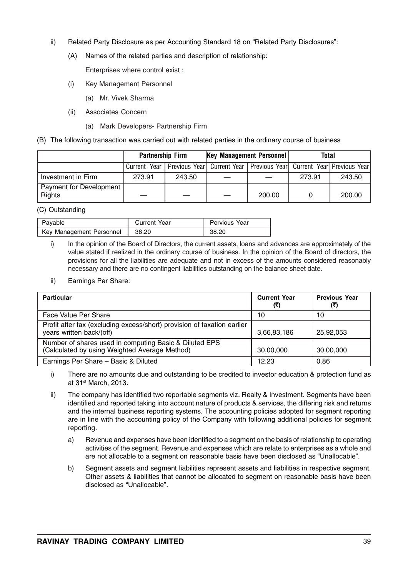- ii) Related Party Disclosure as per Accounting Standard 18 on "Related Party Disclosures":
	- (A) Names of the related parties and description of relationship:

Enterprises where control exist :

- (i) Key Management Personnel
	- (a) Mr. Vivek Sharma
- (ii) Associates Concern
	- (a) Mark Developers- Partnership Firm
- (B) The following transaction was carried out with related parties in the ordinary course of business

|                                   | <b>Partnership Firm</b> |               | <b>Key Management Personnel</b>                             | Total  |        |  |
|-----------------------------------|-------------------------|---------------|-------------------------------------------------------------|--------|--------|--|
|                                   | Current Year            | Previous Year | Current Year   Previous Year   Current Year   Previous Year |        |        |  |
| Investment in Firm                | 273.91                  | 243.50        |                                                             | 273.91 | 243.50 |  |
| Payment for Development<br>Rights |                         |               | 200.00                                                      |        | 200.00 |  |

(C) Outstanding

| Pavable                  | Current Year | Pervious Year |
|--------------------------|--------------|---------------|
| Key Management Personnel | 38.20        | 38.20         |

i) In the opinion of the Board of Directors, the current assets, loans and advances are approximately of the value stated if realized in the ordinary course of business. In the opinion of the Board of directors, the provisions for all the liabilities are adequate and not in excess of the amounts considered reasonably necessary and there are no contingent liabilities outstanding on the balance sheet date.

ii) Earnings Per Share:

| <b>Particular</b>                                                                                       | <b>Current Year</b><br>(₹) | <b>Previous Year</b><br>(₹) |
|---------------------------------------------------------------------------------------------------------|----------------------------|-----------------------------|
| Face Value Per Share                                                                                    | 10                         | 10                          |
| Profit after tax (excluding excess/short) provision of taxation earlier<br>years written back/(off)     | 3,66,83,186                | 25.92.053                   |
| Number of shares used in computing Basic & Diluted EPS<br>(Calculated by using Weighted Average Method) | 30,00,000                  | 30,00,000                   |
| Earnings Per Share - Basic & Diluted                                                                    | 12.23                      | 0.86                        |

- i) There are no amounts due and outstanding to be credited to investor education & protection fund as at 31st March, 2013.
- ii) The company has identified two reportable segments viz. Realty & Investment. Segments have been identified and reported taking into account nature of products & services, the differing risk and returns and the internal business reporting systems. The accounting policies adopted for segment reporting are in line with the accounting policy of the Company with following additional policies for segment reporting.
	- a) Revenue and expenses have been identified to a segment on the basis of relationship to operating activities of the segment. Revenue and expenses which are relate to enterprises as a whole and are not allocable to a segment on reasonable basis have been disclosed as "Unallocable".
	- b) Segment assets and segment liabilities represent assets and liabilities in respective segment. Other assets & liabilities that cannot be allocated to segment on reasonable basis have been disclosed as "Unallocable".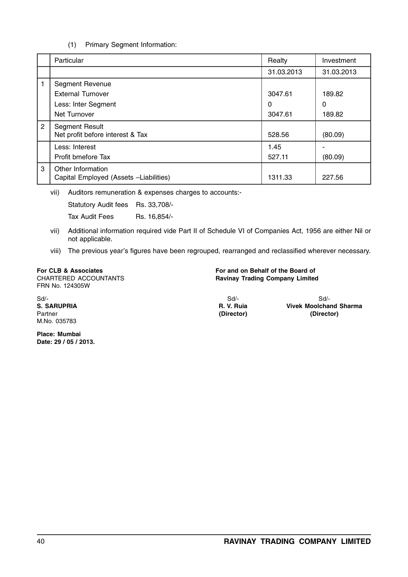#### (1) Primary Segment Information:

|                | Particular                                                  | Realty     | Investment |
|----------------|-------------------------------------------------------------|------------|------------|
|                |                                                             | 31.03.2013 | 31.03.2013 |
|                | Segment Revenue                                             |            |            |
|                | <b>External Turnover</b>                                    | 3047.61    | 189.82     |
|                | Less: Inter Segment                                         | 0          | 0          |
|                | Net Turnover                                                | 3047.61    | 189.82     |
| $\overline{2}$ | <b>Segment Result</b><br>Net profit before interest & Tax   | 528.56     | (80.09)    |
|                | Less: Interest                                              | 1.45       |            |
|                | Profit bmefore Tax                                          | 527.11     | (80.09)    |
| 3              | Other Information<br>Capital Employed (Assets -Liabilities) | 1311.33    | 227.56     |

vii) Auditors remuneration & expenses charges to accounts:-

Statutory Audit fees Rs. 33,708/-

Tax Audit Fees Rs. 16.854/-

- vii) Additional information required vide Part II of Schedule VI of Companies Act, 1956 are either Nil or not applicable.
- viii) The previous year's figures have been regrouped, rearranged and reclassified wherever necessary.

FRN No. 124305W

Sd/- Sd/- Sd/- M.No. 035783

Place: Mumbai Date: 29 / 05 / 2013.

For CLB & Associates<br>
CHARTERED ACCOUNTANTS<br>
Ravinay Trading Company Limited Ravinay Trading Company Limited

S. SARUPRIA **S. SARUPRIA** R. V. Ruia Vivek Moolchand Sharma<br>
Partner (Director) (Director) (Director) Partner (Director) (Director)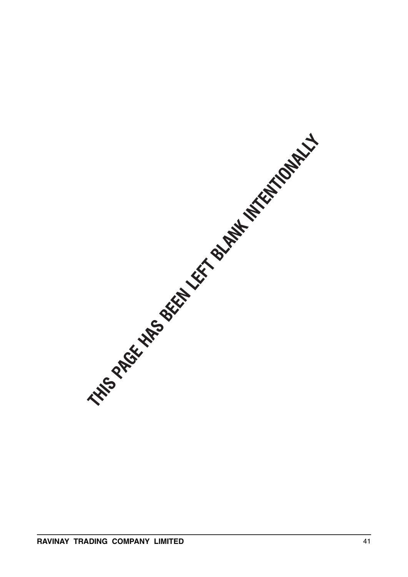This Page Has Beech Links International Manufacturer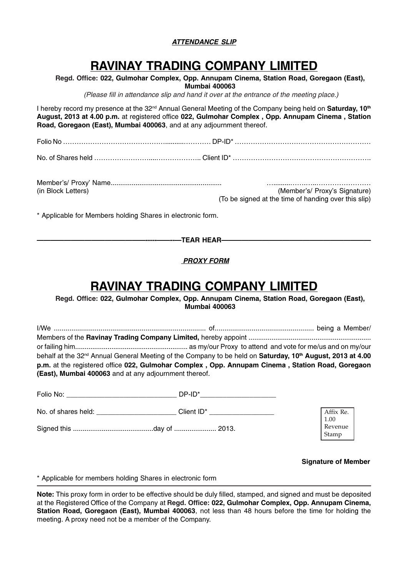#### ATTENDANCE SLIP

## RAVINAY TRADING COMPANY LIMITED

Regd. Office: 022, Gulmohar Complex, Opp. Annupam Cinema, Station Road, Goregaon (East), Mumbai 400063

(Please fill in attendance slip and hand it over at the entrance of the meeting place.)

I hereby record my presence at the 32<sup>nd</sup> Annual General Meeting of the Company being held on Saturday, 10<sup>th</sup> August, 2013 at 4.00 p.m. at registered office 022, Gulmohar Complex , Opp. Annupam Cinema , Station Road, Goregaon (East), Mumbai 400063, and at any adjournment thereof.

Folio No ………………………………………..........………… DP-ID\* ……………………………………………………

No. of Shares held ……………………....……………….. Client ID\* …………………………………………………….

| (in Block Letters) |  |  |  | (Member's/ Proxy's Signature) |  |
|--------------------|--|--|--|-------------------------------|--|

(To be signed at the time of handing over this slip)

\* Applicable for Members holding Shares in electronic form.

—TEAR HEAR—

PROXY FORM

## RAVINAY TRADING COMPANY LIMITED

Regd. Office: 022, Gulmohar Complex, Opp. Annupam Cinema, Station Road, Goregaon (East), Mumbai 400063

I/We .............................................................................. of................................................... being a Member/ Members of the Ravinay Trading Company Limited, hereby appoint ................................................................ or failing him........................................................... as my/our Proxy to attend and vote for me/us and on my/our behalf at the 32<sup>nd</sup> Annual General Meeting of the Company to be held on Saturday, 10<sup>th</sup> August, 2013 at 4.00 p.m. at the registered office 022, Gulmohar Complex , Opp. Annupam Cinema , Station Road, Goregaon (East), Mumbai 400063 and at any adjournment thereof.

| Folio No:           | $DP$ -ID*              |                                      |
|---------------------|------------------------|--------------------------------------|
| No. of shares held: | Client ID <sup>*</sup> | Affix Re.                            |
|                     |                        | $1.00$ Revenue<br><sub>1</sub> Stamp |

#### Signature of Member

\* Applicable for members holding Shares in electronic form

Note: This proxy form in order to be effective should be duly filled, stamped, and signed and must be deposited at the Registered Office of the Company at Regd. Office: 022, Gulmohar Complex, Opp. Annupam Cinema, Station Road, Goregaon (East), Mumbai 400063, not less than 48 hours before the time for holding the meeting. A proxy need not be a member of the Company.